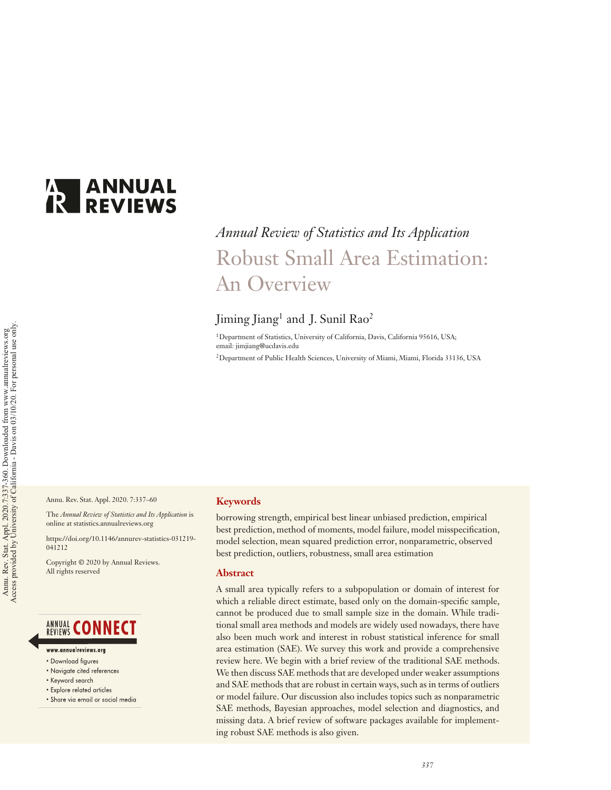

# *Annual Review of Statistics and Its Application* Robust Small Area Estimation: An Ov[erview](mailto:jimjiang@ucdavis.edu)

# Jiming Jiang<sup>1</sup> and J. Sunil Rao<sup>2</sup>

<sup>1</sup>Department of Statistics, University of California, Davis, California 95616, USA; email: jimjiang@ucdavis.edu

2Department of Public Health Sciences, University of Miami, Miami, Florida 33136, USA

Annu. Rev. Stat. Appl. 2020. 7:337–60

The *Annual Review of Statistics and Its Application* is online at statistics.annualreviews.org

https://doi.org/10.1146/annurev-statistics-031219- 041212

Copyri[ght © 2020 by Annual Reviews.](https://www.annualreviews.org/doi/full/10.1146/annurev-statistics-031219-041212) All rights reserved



#### www.annualreviews.org

- Download figures
- Navigate cited references
- Keyword search
- · Explore related articles
- · Share via email or social media

#### **Keywords**

borrowing strength, empirical best linear unbiased prediction, empirical best prediction, method of moments, model failure, model misspecification, model selection, mean squared prediction error, nonparametric, observed best prediction, outliers, robustness, small area estimation

#### **Abstract**

A small area typically refers to a subpopulation or domain of interest for which a reliable direct estimate, based only on the domain-specific sample, cannot be produced due to small sample size in the domain. While traditional small area methods and models are widely used nowadays, there have also been much work and interest in robust statistical inference for small area estimation (SAE). We survey this work and provide a comprehensive review here. We begin with a brief review of the traditional SAE methods. We then discuss SAE methods that are developed under weaker assumptions and SAE methods that are robust in certain ways, such as in terms of outliers or model failure. Our discussion also includes topics such as nonparametric SAE methods, Bayesian approaches, model selection and diagnostics, and missing data. A brief review of software packages available for implement-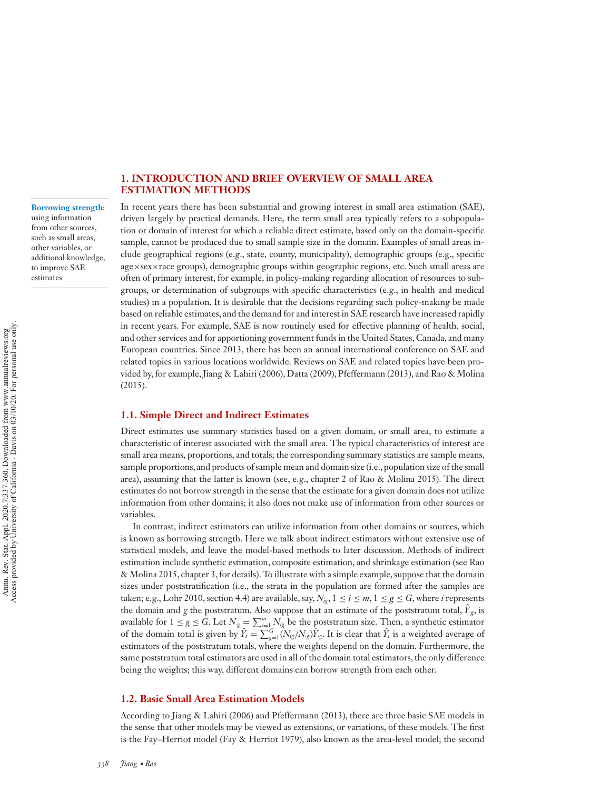# **1. INTRODUCTION AND BRIEF OVERVIEW OF SMALL AREA ESTIMATION METHODS**

#### **Borrowing strength:**

ng information m other sources, ch as small areas, er variables, or ditional knowledge, improve SAE imates

In recent years there has been substantial and growing interest in small area estimation (SAE), driven largely by practical demands. Here, the term small area typically refers to a subpopulation or domain of interest for which a reliable direct estimate, based only on the domain-specific sample, cannot be produced due to small sample size in the domain. Examples of small areas include geographical regions (e.g., state, county, municipality), demographic groups (e.g., specific age×sex×race groups), demographic groups within geographic regions, etc. Such small areas are often of primary interest, for example, in policy-making regarding allocation of resources to subgroups, or determination of subgroups with specific characteristics (e.g., in health and medical studies) in a population. It is de[sirable that the decisio](#page-21-0)[ns regarding](#page-20-0) [such policy-making b](#page-22-0)e made based on r[eliable estimates, and the demand for and interest in SAE research have increased rapidly](#page-22-0) in recent years. For example, SAE is now routinely used for effective planning of health, social, and other services and for apportioning government funds in the United States, Canada, and many European countries. Since 2013, there has been an annual international conference on SAE and related topics in various locations worldwide. Reviews on SAE and related topics have been provided by, for example, Jiang & Lahiri (2006), Datta (2009), Pfeffermann (2013), and Rao & Molina (2015).

#### **1.1. Simple Direct and Indirect Estimates**

Direct estimates use summary statistics based on a given domain, or small area, to estimate a characteristic of interest associated with the small area. The typical characteristics of interest are small area means, proportions, and totals; the corresponding summary statistics are sample means, sample proportions, and products of sample mean and domain size (i.e., population size of the small area), assuming that the latter is known (see, e.g., chapter 2 of Rao & Molina 2015). The direct estimates do not borrow strength in the sense that the estimate for a given domain does not utilize informati[on from other domains; it also does not make use of information from other sources or](#page-22-0) variables.

In contrast, indire[ct estimator](#page-21-0)s can utilize information from other domains or sources, which is known as borrowing strength. Here we talk about indirect estimators without extensive use of statistical models, and leave the model-based methods to later discussion. Methods of indirect estimation include synthetic estimation, composite estimation, and shrinkage estimation (see Rao & Molina 2015, chapter 3, for details). To illustrate with a simple example, suppose that the domain sizes under poststratification (i.e., the strata in the population are formed after the samples are taken; e.g., Lohr 2010, section 4.4) are available, say,  $N_{ig}$ ,  $1 \le i \le m$ ,  $1 \le g \le G$ , where *i* represents the domain and *g* the poststratum. Also suppose that an estimate of the poststratum total,  $\hat{Y}_{g}$ , is available for  $1 \le g \le G$ . Let  $N_g = \sum_{i=1}^m N_{ig}$  be the poststratum size. Then, a synthetic estimator of the domain total is given by  $\hat{Y}_i = \sum_{g=1}^G (N_{ig}/N_g) \hat{Y}_g$ . It is clear that  $\hat{Y}_i$  is a weighted average of estimators of the poststr[atum totals, where the](#page-21-0) wei[ghts depend on the d](#page-22-0)omain. Furthermore, the same poststratum total estimators are used in all of the domain total estimators, the only difference being the weights; this way, different [domains can borrow s](#page-20-0)trength from each other.

#### **1.2. Basic Small Area Estimation Models**

According to Jiang & Lahiri (2006) and Pfeffermann (2013), there are three basic SAE models in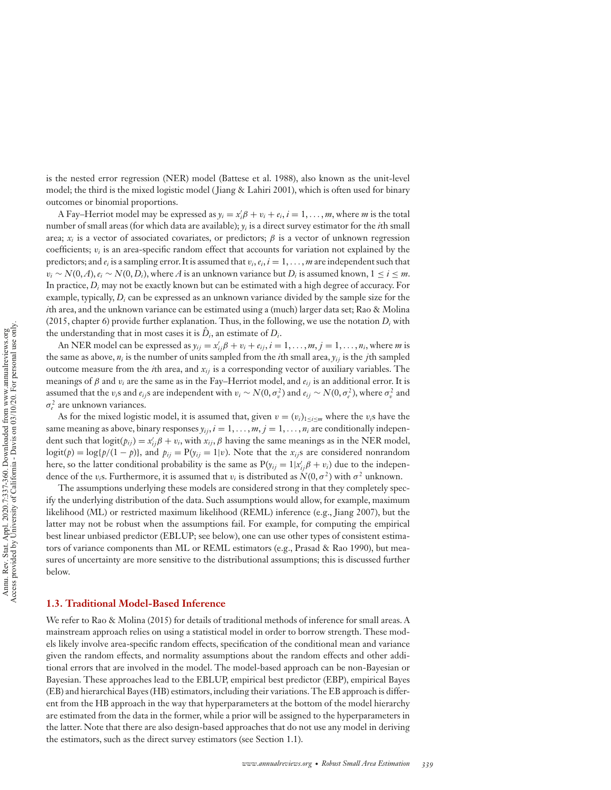is the nested error regression (NER) model (Battese et al. 1988), also known as the unit-level model; the third is the mixed logistic model ( Jiang & Lahiri 2001), which is often used for binary outcomes or binomial proportions.

A Fay–Herriot model may be expressed as  $y_i = x'_i \beta + v_i + e_i$ ,  $i = 1, ..., m$ , where *m* is the total number of small areas (for which data are available); *yi* is a direct survey estimator for the *i*th small area;  $x_i$  is a vector of associated covariates, or predictors;  $\beta$  is a vector of unknown regression coefficients; v*<sup>i</sup>* [is an area-specific random effect that accounts for variation not explained by the](#page-22-0) predictors; and  $e_i$  is a sampling error. It is assumed that  $v_i$ ,  $e_i$ ,  $i = 1, \ldots, m$  are independent such that  $v_i \sim N(0, A)$ ,  $e_i \sim N(0, D_i)$ , where *A* is an unknown variance but *D<sub>i</sub>* is assumed known,  $1 \le i \le m$ . In practice, *Di* may not be exactly known but can be estimated with a high degree of accuracy. For example, typically, *Di* can be expressed as an unknown variance divided by the sample size for the *i*th area, and the unknown variance can be estimated using a (much) larger data set; Rao & Molina (2015, chapter 6) provide further explanation. Thus, in the following, we use the notation *Di* with the understanding that in most cases it is  $\ddot{D}_i$ , an estimate of  $D_i$ .

An NER model can be expressed as  $y_{ij} = x'_{ij}\beta + v_i + e_{ij}, i = 1, \ldots, m, j = 1, \ldots, n_i$ , where *m* is the same as above,  $n_i$  is the number of units sampled from the *i*th small area,  $y_i$  is the *j*th sampled outcome measure from the *i*th area, and *xi j* is a corresponding vector of auxiliary variables. The meanings of  $\beta$  and  $v_i$  are the same as in the Fay–Herriot model, and  $e_{ij}$  is an additional error. It is assumed that the *v<sub>i</sub>*s and  $e_{ij}s$  are independent with  $v_i \sim N(0, \sigma_v^2)$  and  $e_{ij} \sim N(0, \sigma_e^2)$ , where  $\sigma_v^2$  and  $\sigma_e^2$  are unknown variances.

As for the mixed logistic model, it is assumed that, given  $v = (v_i)_{1 \le i \le m}$  where the  $v_i$ s have the same meaning as above, binary responses  $y_{ij}$ ,  $i = 1, \ldots, m$ ,  $j = 1, \ldots, n_i$  are conditionally independent such that  $logit(p_{ij}) = x'_{ij}\beta + v_i$ , with  $x_{ij}, \beta$  having the same meanings as in the N[ER model,](#page-21-0) logit(*p*) = log{ $p/(1 - p)$ }, and  $p_{ij} = P(y_{ij} = 1|v)$ . Note that the *x<sub>ij</sub>*s are considered nonrandom here, so the latter conditional probability is the same as  $P(y_{ij} = 1 | x'_{ij} \beta + v_i)$  due to the independence of the *v<sub>i</sub>*s. Furthermore, it is assumed that *v<sub>i</sub>* is distributed as  $N(0, \sigma^2)$  with  $\sigma^2$  [unknown.](#page-22-0)

The assumptions underlying these models are considered strong in that they completely specify the underlying distribution of the data. Such assumptions would allow, for example, maximum likelihood (ML) or restricted maximum likelihood (REML) inference (e.g., Jiang 2007), but the latter may not be robust when the assumptions fail. For example, for computing the empirical best linear unbiased predictor (EBLUP; see below), one can use other types of consistent estimators of variance comp[onents than ML or RE](#page-22-0)ML estimators (e.g., Prasad & Rao 1990), but measures of uncertainty are more sensitive to the distributional assumptions; this is discussed further below.

#### **1.3. Traditional Model-Based Inference**

We refer to Rao & Molina (2015) for details of traditional methods of inference for small areas. A mainstream approach relies on using a statistical model in order to borrow strength. These models likely involve area-specific random effects, specification of the conditional mean and variance given the random effects, and normality assumptions about the random effects and other additional errors that are involved in the model. The model-based approach can be non-Bayesian or Bayesian. These approaches lead to the EBLUP, empirical best predictor (EBP), empirical Bayes (EB) and hierarchical Bayes (HB) estimators, including their variations. The EB approach is different from the HB approach in the way that hyperparameters at the bottom of the model hierarchy are estimated from the data in the former, while a prior will be assigned to the hyperparameters in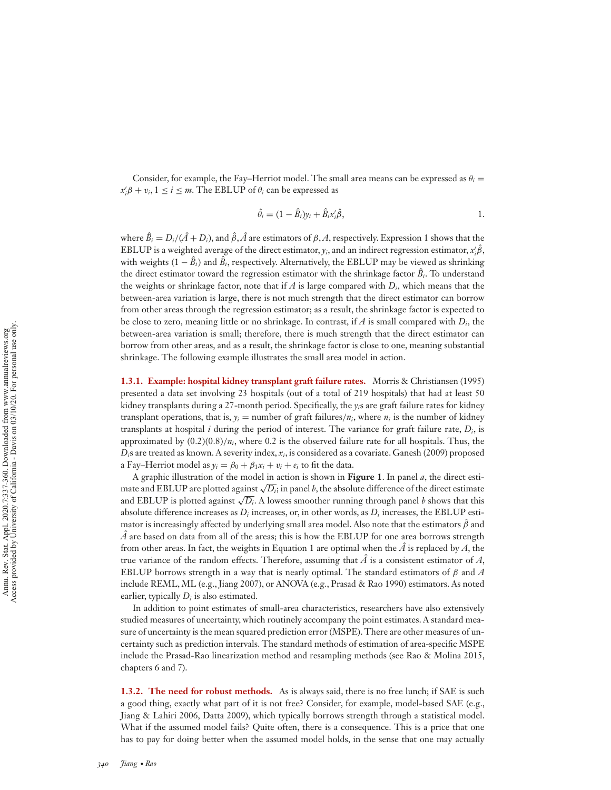<span id="page-3-0"></span>Consider, for example, the Fay–Herriot model. The small area means can be expressed as  $\theta_i$  =  $x_i' \beta + v_i$ ,  $1 \le i \le m$ . The EBLUP of  $\theta_i$  can be expressed as

$$
\hat{\theta}_i = (1 - \hat{B}_i) y_i + \hat{B}_i x'_i \hat{\beta}, \qquad 1.
$$

where  $\hat{B}_i = D_i/(\hat{A} + D_i)$ , and  $\hat{\beta}, \hat{A}$  are estimators of  $\beta, A$ , respectively. Expression 1 shows that the EBLUP is a weighted average of the direct estimator,  $y_i$ , and an indirect regression estimator,  $x'_i\hat{\beta}$ , with weights  $(1 - \hat{B}_i)$  and  $\hat{B}_i$ , respectively. Alternatively, the EBLUP may be viewed as shrinking the direct estimator toward the regression estimator with the shrinkage factor  $\hat{B}_i$ . To understand the weights or shrinkage factor, note that if *A* is large compared with *Di*, which means that the between-area variation is large, there is not much strength that the direct estimator can borrow from other areas through the regression estimator; as a result, the shrinkage f[actor is expected to](#page-22-0) be close to zero, meaning little or no shrinkage. In contrast, if *A* is small compared with *Di*, the between-area variation is small; therefore, there is much strength that the direct estimator can borrow from other areas, and as a result, the shrinkage factor is close to one, meaning substantial shrinkage. The following example illustrates the small area model in action.

**1.3.1. Example: hospital kidney transplant graft failure rates.** Morris & Chris[tiansen \(1995\)](#page-20-0) presented a data set involving 23 hospitals (out of a total of 219 hospitals) that had at least 50 kidney transplants during a 27-month period. Specifically, the  $\gamma_i$ s are graft failure rates for kidney transplant operations, that is,  $y_i$  = number of graft failures/ $n_i$ , where  $n_i$  is the number of kidney transplants at hospital *i* during the period of interest. The variance for graft failure rate, *Di*, is approximated by  $(0.2)(0.8)/n<sub>i</sub>$ , where 0.2 is the observed failure rate for all hospitals. Thus, the *Di*s are treated as known. A severity index, *xi*, is considered as a covariate. Ganesh (2009) proposed a Fay–Herriot model as  $y_i = \beta_0 + \beta_1 x_i + v_i + e_i$  to fit the data.

A graphic illustration of the model in action is shown in **Figure 1**. In panel *a*, the direct estimate and EBLUP are plotted against  $\sqrt{D_i}$ ; in panel *b*, the absolute difference of the direct estimate and EBLUP is plotted against  $\sqrt{D_i}$ . A lowess smoother running through panel *b* shows that this absolute difference increases as *Di* i[ncreases, or,](#page-21-0) in other words, as *Di* [increases, the EB](#page-22-0)LUP estimator is increasingly affected by underlying small area model. Also note that the estimators  $\hat{\beta}$  and *A* are based on data from all of the areas; this is how the EBLUP for one area borrows strength from other areas. In fact, the weights in Equation 1 are optimal when the  $\hat{A}$  is replaced by  $A$ , the true variance of the random effects. Therefore, assuming that  $\hat{A}$  is a consistent estimator of  $A$ , EBLUP borrows strength in a way that is nearly optimal. The standard estimators of  $\beta$  and  $\beta$ include REML, ML (e.g., Jiang 2007), or ANOVA (e.g., Prasad & Rao 1990) estimator[s. As noted](#page-22-0) earlier, typically *Di* is also estimated.

In addition to point estimates of small-area characteristics, researchers have also extensively studied measures of uncertainty, which routinely accompany the point estimates. A standard measure of uncertainty is the mean squared prediction error (MSPE). There are other measures of uncertainty s[uch as prediction inte](#page-21-0)[rvals. The sta](#page-20-0)ndard methods of estimation of area-specific MSPE include the Prasad-Rao linearization method and resampling methods (see Rao & Molina 2015, chapters 6 and 7).

**1.3.2. The need for robust methods.** As is always said, there is no free lunch; if SAE is such a good thing, exactly what part of it is not free? Consider, for example, model-based SAE (e.g., Jiang & Lahiri 2006, Datta 2009), which typically borrows strength through a statistical model.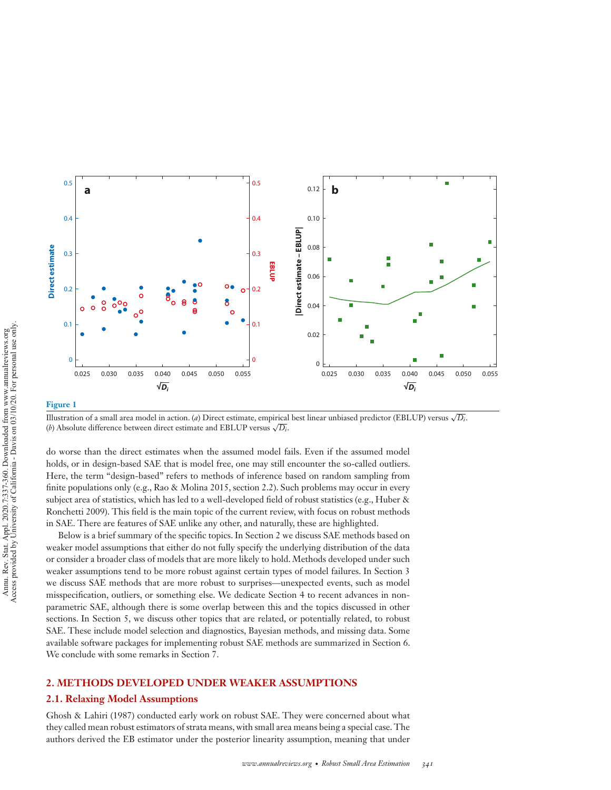

#### **Figure 1**

Illustration of a small area model in action. (*a*[\) Direct estimate, emp](#page-22-0)irical best linear unbiased predictor (EBLUP) versus  $\sqrt{D_i}$ . (*b*) Absolut[e difference between direct estimate and EBLUP versus](#page-21-0)  $\sqrt{D_i}$ .

do worse than the direct estimates when the assumed model fails. Even if the assumed model holds, or in design-based SAE that is model free, one may still encounter the so-called outliers. Here, the term "design-based" refers to methods of inference based on random sampling from finite populations only (e.g., Rao & Molina 2015, section 2.2). Such problems may occur in every subject area of statistics, which has led to a well-developed field of robust statistics (e.g., Huber & Ronchetti 2009). This field is the main topic of the current review, with focus on robust methods in SAE. There are features of SAE unlike any other, and naturally, these are highlighted.

Below is a brief summary of the specific topics. In Section 2 we discuss SAE methods based on weaker model assumptions that either do not fully specify the underlying distribution of the data or consider a broader class of models that are more likely to hold. Methods developed under such weaker assumptions tend to be more robust against certain types of model failures. In Section 3 we discuss SAE methods that are more robust to surprises—unexpected events, such as model misspecification, outliers, or something else. We dedicate Section 4 to recent advances in nonparametric SAE, although there is some overlap between this and the topics discussed in other sections. In Section 5, we discuss other topics that are related, or potentially related, to robust SAE. These include model selection and diagnostics, Bayesian methods, and missing data. Some available s[oftware packages for imp](#page-20-0)lementing robust SAE methods are summarized in Section 6. We conclude with some remarks in Section 7.

# **2. METHODS DEVELOPED UNDER WEAKER ASSUMPTIONS**

### **2.1. Relaxing Model Assumptions**

Ghosh & Lahiri (1987) conducted early work on robust SAE. They were concerned about what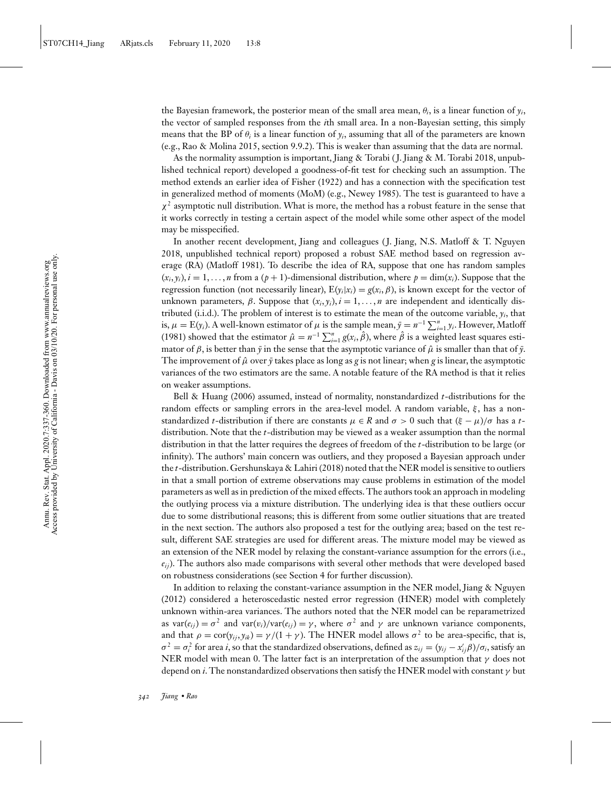the Bayesian framework, the posterior mean of the small area mean,  $\theta_i$ , is a linear function of  $\gamma_i$ , the vector of sampled responses from the *i*th small area. In a non-Bayesian setting, this simply means that the BP of  $\theta_i$  is a linear function of  $y_i$ , assuming that all of the parameters are known (e.g., [Rao & Molina 2015,](#page-22-0) section 9.9.2). This is weaker than assuming that the data are normal.

As the normality assumption is important, Jiang & Torabi ( J. Jiang & M. Torabi 2018, unpublished technical report) developed a goodness-of-fit test for checking such an assumption. The method extends an earlier idea of [Fisher \(1922\)](#page-20-0) and has a connection with the specification test in generalized method of moments (MoM) (e.g., [Newey 1985\)](#page-22-0). The test is guaranteed to have a  $\chi^2$  asymptotic null distribution. What is more, the method has a robust feature in the sense that it works correctly in testing a certain aspect of the model while some other aspect of the model may be misspecified.

In another recent development, Jiang and colleagues (J. Jiang, N.S. Matloff & T. Nguyen 2018, unpublished technical report) proposed a robust SAE method based on regression average (RA) [\(Matloff 1981\)](#page-22-0). To describe the idea of RA, suppose that one has random samples  $(x_i, y_i)$ ,  $i = 1, \ldots, n$  from a  $(p + 1)$ -dimensional distribution, where  $p = \dim(x_i)$ . Suppose that the regression function (not necessarily linear),  $E(y_i|x_i) = g(x_i, \beta)$ , is known except for the vector of unknown parameters,  $\beta$ . Suppose that  $(x_i, y_i)$ ,  $i = 1, \ldots, n$  are independent and identically distributed (i.i.d.). The problem of interest is to estimate the mean of the outcome variable,  $y_i$ , that is,  $\mu = \text{E}(y_i)$ . A well-known estimator of  $\mu$  is the sample mean,  $\bar{y} = n^{-1} \sum_{i=1}^n y_i$ . However, Matloff (1981) showed that the estimator  $\hat{\mu} = n^{-1} \sum_{i=1}^{n} g(x_i, \hat{\beta})$ , where  $\hat{\beta}$  is a weighted least squares estimator of *β*, is better than *y* in the sense that the asymptotic variance of  $\hat{\mu}$  is smaller than that of *y*. The improvement of  $\hat{\mu}$  over  $\bar{y}$  takes place as long as *g* is not linear; when *g* is linear, the asymptotic variances of the two estimators are the same. A notable feature of the RA method is that it relies on weaker assumptions.

[Bell & Huang \(2006\)](#page-19-0) assumed, instead of normality, nonstandardized *t*-distributions for the random effects or sampling errors in the area-level model. A random variable, ξ, has a nonstandardized *t*-distribution if there are constants  $\mu \in R$  and  $\sigma > 0$  such that  $(\xi - \mu)/\sigma$  has a *t*distribution. Note that the *t*-distribution may be viewed as a weaker assumption than the normal distribution in that the latter requires the degrees of freedom of the *t*-distribution to be large (or infinity). The authors' main concern was outliers, and they proposed a Bayesian approach under the *t*-distribution. [Gershunskaya & Lahiri \(2018\)](#page-20-0) noted that the NER model is sensitive to outliers in that a small portion of extreme observations may cause problems in estimation of the model parameters as well as in prediction of the mixed effects. The authors took an approach in modeling the outlying process via a mixture distribution. The underlying idea is that these outliers occur due to some distributional reasons; this is different from some outlier situations that are treated in the next section. The authors also proposed a test for the outlying area; based on the test result, different SAE strategies are used for different areas. The mixture model may be viewed as an extension of the NER model by relaxing the constant-variance assumption for the errors (i.e.,  $e_{ij}$ ). The authors also made comparisons with several other methods that were developed based on robustness considerations (see Section 4 for further discussion).

In addition to relaxing the constant-variance assumption in the NER model, Jiang & Nguyen [\(2012\) considered a heteroscedastic nested error regression \(HNER\) model with completely](#page-21-0) unknown within-area variances. The authors noted that the NER model can be reparametrized as  $var(e_{ij}) = \sigma^2$  and  $var(v_i)/var(e_{ij}) = \gamma$ , where  $\sigma^2$  and  $\gamma$  are unknown variance components, and that  $\rho = \text{cor}(y_{ij}, y_{ik}) = \gamma/(1 + \gamma)$ . The HNER model allows  $\sigma^2$  to be area-specific, that is,  $\sigma^2 = \sigma_i^2$  for area *i*, so that the standardized observations, defined as  $z_{ij} = (y_{ij} - x'_{ij}\beta)/\sigma_i$ , satisfy an NER model with mean 0. The latter fact is an interpretation of the assumption that  $\gamma$  does not depend on *i*. The nonstandardized observations then satisfy the HNER model with constant  $\gamma$  but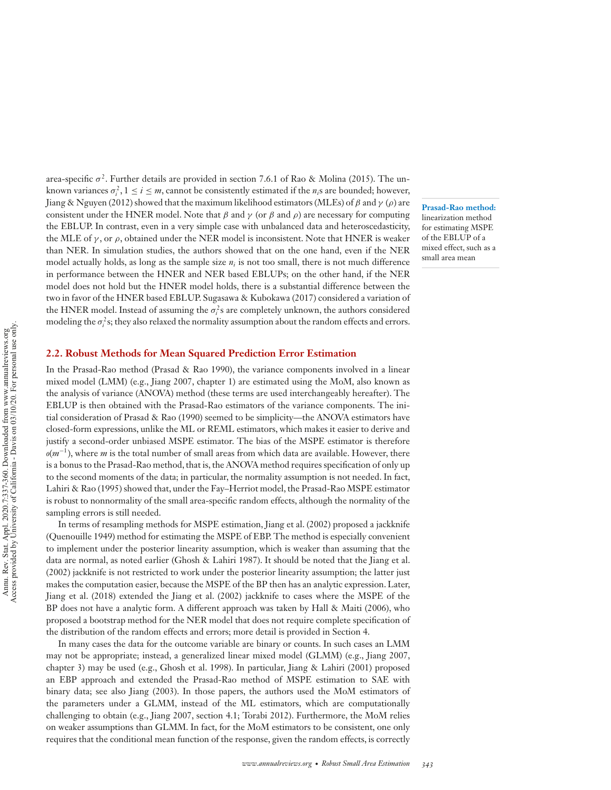area-specific  $\sigma^2$ . Further details are provided in section 7.6.1 of Rao & Molina (2015). The unknown variances  $\sigma_i^2$ ,  $1 \le i \le m$ , cannot be consistently estimated if the *n<sub>i</sub>*s are bounded; however, Jiang & Nguyen (2012) showed that the maximum likelihood estimators (MLEs) of  $\beta$  and  $\gamma$  ( $\rho$ ) are consistent under the HNER model. Note that  $\beta$  and  $\gamma$  (or  $\beta$  and  $\rho$ ) are necessary for computing the EBLUP. In contrast, even in a very simple case [with unbalanced data and heter](#page-22-0)oscedasticity, the MLE of  $\gamma$ , or  $\rho$ , obtained under the NER model is inconsistent. Note that HNER is weaker than NER. In simulation studies, the authors showed that on the one hand, even if the NER model actually holds, as long as the sample size *ni* is not too small, there is not much difference in performance between the HNER and NER based EBLUPs; on the other hand, if the NER model does not hold but the HNER model holds, there is a substantial difference between the two in favor of the HNER based EBL[UP. Sugasawa & Kubo](#page-22-0)kawa (2017) considered a variation of the HNER model. Instead of assumin[g the](#page-21-0)  $\sigma_i^2$ s are completely unknown, the authors considered modeling the  $\sigma_i^2$ s; they also relaxed the normality assumption about the random effects and errors.

#### **2.2. Robust Methods for [Mean](#page-22-0) [Squared](#page-22-0) [Pred](#page-22-0)iction Error Estimation**

In the Prasad-Rao method (Prasad & Rao 1990), the variance components involved in a linear mixed model (LMM) (e.g., Jiang 2007, chapter 1) are estimated using the MoM, also known as the analysis of variance (ANOVA) method (these terms are used interchangeably hereafter). The EBLUP is then obtained with the Prasad-Rao estimators of the variance components. The initial consid[eration of Prasad & R](#page-21-0)ao (1990) seemed to be simplicity—the ANOVA estimators have closed-form expressions, unlike the ML or REML estimators, which makes it easier to derive and justify a second-order unbiased MSPE estimator. The bias of the MSPE estimator is therefore *o*( $m^{-1}$ ), where *m* is the total number of small areas from which data a[re available. Howe](#page-21-0)ver, there is a bonus t[o the Prasad-Rao m](#page-22-0)ethod, that is, the ANOVA method requires specification of only up to the second moments of the data; in particular, the normality assumption is not needed. In fact, Lahiri & Rao (1995) showed that, under the [Fay–Herriot model, the](#page-20-0) Prasad-Rao MSPE estimator is robust t[o nonnormality of the small area-specific random effects, although the normality of the](#page-21-0) sampling errors is still needed.

In ter[ms of resampling met](#page-21-0)hods for MS[PE estimation, Jiang](#page-21-0) et al. (2002) proposed a jackknife (Quenouille 1949) method for estimating the MSPE of EBP. The method is espec[ially convenient](#page-21-0) to implement under the posterior linearity assumption, which is weaker than assuming that the data are normal, as noted earlier (Ghosh & Lahiri 1987). It should be noted that the Jiang et al. (2002) jackknife is not restricted to work under the posterior linearity assumption; the latter just makes the computation easier, because the MSPE of the BP then has an analytic expression. Late[r,](#page-21-0) Jiang et al. (2018) extended the Jiang e[t al. \(2002\) jackkni](#page-20-0)fe to cases wh[ere the MSPE of the](#page-21-0) BP does not have a analytic form. A different approach was taken by Hall & Maiti (2006), who proposed a bootstrap method fo[r the NER mo](#page-21-0)del that does not require complete specification of the distribution of the random effects and errors; more detail is provided in Section 4.

In many cases the data for the out[come variabl](#page-21-0)e are binary [or counts. In](#page-22-0) such cases an LMM may not be appropriate; instead, a generalized linear mixed model (GLMM) (e.g., Jiang 2007, chapter 3) may be used (e.g., Ghosh et al. 1998). In particular, Jiang & Lahiri (2001) proposed an EBP approach and extended the Prasad-Rao method of MSPE estimation to SAE with binary data; see also Jiang (2003). In those papers, the authors used the MoM estimators of the parameters under a GLMM, instead of the ML estimators, which are computationally challenging to obtain (e.g., Jiang 2007, section 4.1; Torabi 2012). Furthermore, the MoM relies

**Prasad-Rao method:** linearization method for estimating MSPE of the EBLUP of a mixed effect, such as a small area mean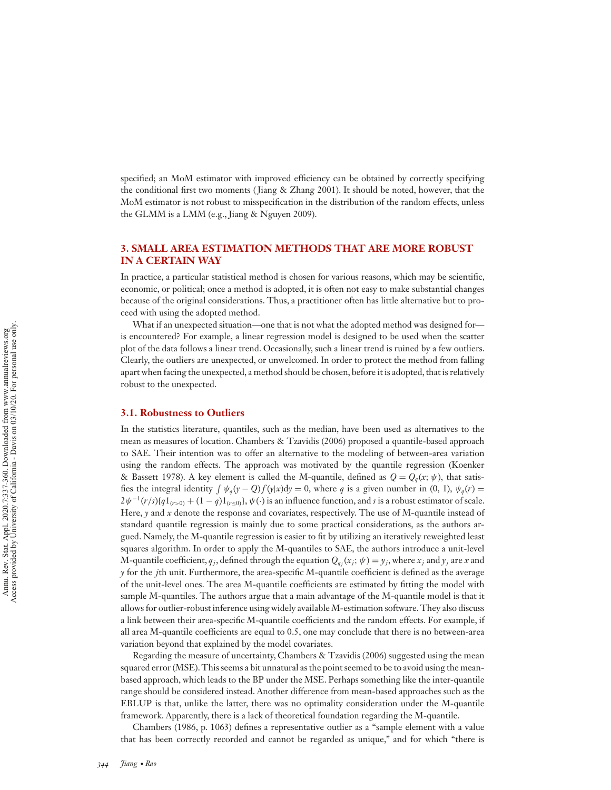specified; an MoM estimator with improved efficiency can be obtained by correctly specifying the conditional first two moments ( Jiang & Zhang 2001). It should be noted, however, that the MoM estimator is not robust to misspecification in the distribution of the random effects, unless the GLMM is a LMM (e.g., Jiang & Nguyen 2009).

# **3. SMALL AREA ESTIMATION METHODS THAT ARE MORE ROBUST IN A CERTAIN WAY**

In practice, a particular statistical method is chosen for various reasons, which may be scientific, economic, or political; once a method is adopted, it is often not easy to make substantial changes because of the original considerations. Thus, a practitioner often has little alternative but to proceed with using the adopted method.

What if an unexpected situation—one that is not what the adopted method was designed for is encountered? For example, a linear regression model is designed to be used when the scatter plot of the data follows a linear trend. Occasionally, such a linear trend is ruined by a few outliers. Clearly, the outliers are unexpected, or unwelcomed. In order to protect the method from falling apart when facing the unexpected, a meth[od should be chosen, before it is](#page-19-0) adopted, that is relatively robust to the unexpected.

#### **3.1. Rob[ustness](#page-21-0) [to](#page-21-0) [Outliers](#page-21-0)**

In the statistics literature, quantiles, such as the median, have been used as alternatives to the mean as measures of location. Chambers & Tzavidis (2006) proposed a quantile-based approach to SAE. Their intention was to offer an alternative to the modeling of between-area variation using the random effects. The approach was motivated by the quantile regression (Koenker & Bassett 1978). A key element is called the M-quantile, defined as  $Q = Q_q(x; \psi)$ , that satisfies the integral identity  $\int \psi_a(y-Q) f(y|x) dy = 0$ , where *q* is a given number in (0, 1),  $\psi_a(r) =$  $2\psi^{-1}(r/s)(q\mathbb{1}_{(r>0)}+(1-q)\mathbb{1}_{(r\leq 0)}), \psi(\cdot)$  is an influence function, and *s* is a robust estimator of scale. Here, *y* and *x* denote the response and covariates, respectively. The use of M-quantile instead of standard quantile regression is mainly due to some practical considerations, as the authors argued. Namely, the M-quantile regression is easier to fit by utilizing an iteratively reweighted least squares algorithm. In order to apply the M-quantiles to SAE, the authors introduce a unit-level M-quantile coefficient,  $q_j$ , defined through the equation  $Q_q(x_j; \psi) = y_j$ , where  $x_j$  and  $y_j$  are  $x$  and *y* for the *j*th unit. Furthermore, the area-specific M-quantile coefficient is defined as the average of the unit-level ones. The area M-quantile coeffici[ents are estimated by fitting t](#page-19-0)he model with sample M-quantiles. The authors argue that a main advantage of the M-quantile model is that it allows for outlier-robust inference using widely available M-estimation software. They also discuss a link between their area-specific M-quantile coefficients and the random effects. For example, if all area M-quantile coefficients are equal to 0.5, one may conclude that there is no between-area variation beyond that explained by the model covariates.

Regarding [the measure of un](#page-20-0)certainty, Chambers & Tzavidis (2006) suggested using the mean squared error (MSE). This seems a bit unnatural as the point seemed to be to avoid using the meanbased approach, which leads to the BP under the MSE. Perhaps something like the inter-quantile range should be considered instead. Another difference from mean-based approaches such as the EBLUP is that, unlike the latter, there was no optimality consideration under the M-quantile framework. Apparently, there is a lack of theoretical foundation regarding the M-quantile.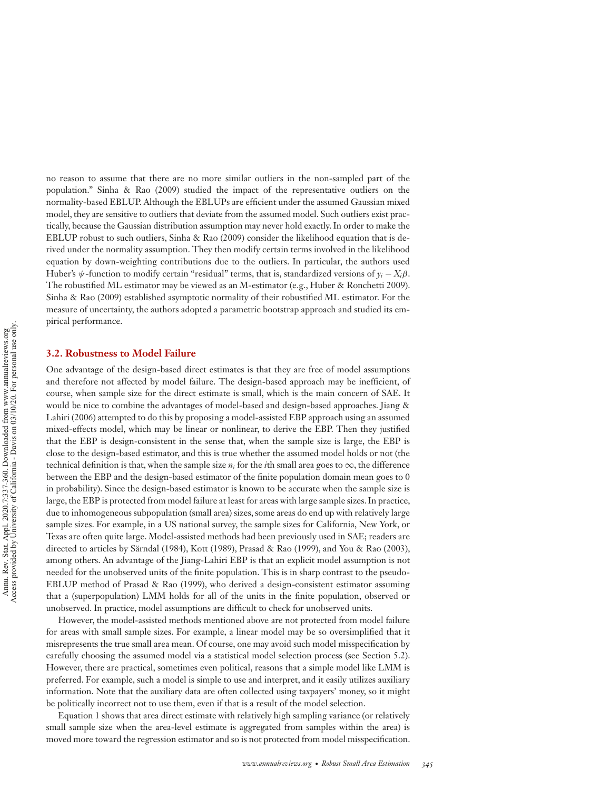no reason to assume that there are no m[ore](#page-22-0) [similar](#page-22-0) [outliers](#page-22-0) in the non-sampled part of the population." Sinha & Rao (2009) studied the impact of the representative outliers on the normality-based EBLUP. Although the EBLUPs are efficient under the assumed Gaussian mixed model, they are sensitive to outliers that deviate from the assumed model. Such o[utliers exist prac](#page-21-0)tically, bec[ause the Gaussian dis](#page-22-0)tribution assumption may never hold exactly. In order to make the EBLUP robust to such outliers, Sinha & Rao (2009) consider the likelihood equation that is derived under the normality assumption. They then modify certain terms involved in the likelihood equation by down-weighting contributions due to the outliers. In particular, the authors used Huber's  $\psi$ -function to modify certain "residual" terms, that is, standardized versions of  $y_i - X_i\beta$ . The robustified ML estimator may be viewed as an M-estimator (e.g., Huber & Ronchetti 2009). Sinha & Rao (2009) established asymptotic normality of their robustified ML estimator. For the measure of uncertainty, the authors adopted a parametric bootstrap approach and studied its empirical performance.

#### **3.2. Rob[ustness to Model Failure](#page-21-0)**

One advantage of the design-based direct estimates is that they are free of model assumptions and therefore not affected by model failure. The design-based approach may be inefficient, of course, when sample size for the direct estimate is small, which is the main concern of SAE. It would be nice to combine the advantages of model-based and design-based approaches. Jiang & Lahiri (2006) attempted to do this by proposing a model-assisted EBP approach using an assumed mixed-effects model, which may be linear or nonlinear, to derive the EBP. Then they justified that the EBP is design-consistent in the sense that, when the sample size is large, the EBP is close to the design-based estimator, and this is true whether the assumed model holds or not (the technical definition is that, when the sample size  $n_i$  for the *i*th small area goes to  $\infty$ , the difference between the EBP and the design[-based estimato](#page-22-0)[r of the finite](#page-21-0) [population domain m](#page-22-0)ean [goes to 0](#page-23-0) in probability). Since the design-based estimator is known to be accurate when the sample size is large, the EBP is protected from model failure at least for areas with large sample sizes. In practice, due to inhomogeneous subpop[ulation \(small area\) size](#page-22-0)s, some areas do end up with relatively large sample sizes. For example, in a US national survey, the sample sizes for California, New York, or Texas are often quite large. Model-assisted methods had been previously used in SAE; readers are directed to articles by Särndal (1984), Kott (1989), Prasad & Rao (1999), and You & Rao (2003), among others. An advantage of the Jiang-Lahiri EBP is that an explicit model assumption is not needed for the unobserved units of the finite population. This is in sharp contrast to the pseudo-EBLUP method of Prasad & Rao (1999), who derived a design-consistent estimator assuming that a (superpopulation) LMM holds for all of the units in the finite population, observed or unobserved. In practice, model assumptions are difficult to check for unobserved units.

However, the model-assisted methods mentioned above are not protected from model failure for areas with small sample sizes. For example, a linear model may be so oversimplified that it misrepresent[s the true sm](#page-3-0)all area mean. Of course, one may avoid such model misspecification by carefully choosing the assumed model via a statistical model selection process (see Section 5.2). However, there are practical, sometimes even political, reasons that a simple model like LMM is preferred. For example, such a model is simple to use and interpret, and it easily utilizes auxiliary information. Note that the auxiliary data are often collected using taxpayers' money, so it might be politically incorrect not to use them, even if that is a result of the model selection.

Equation 1 shows that area direct estimate with relatively high sampling variance (or relatively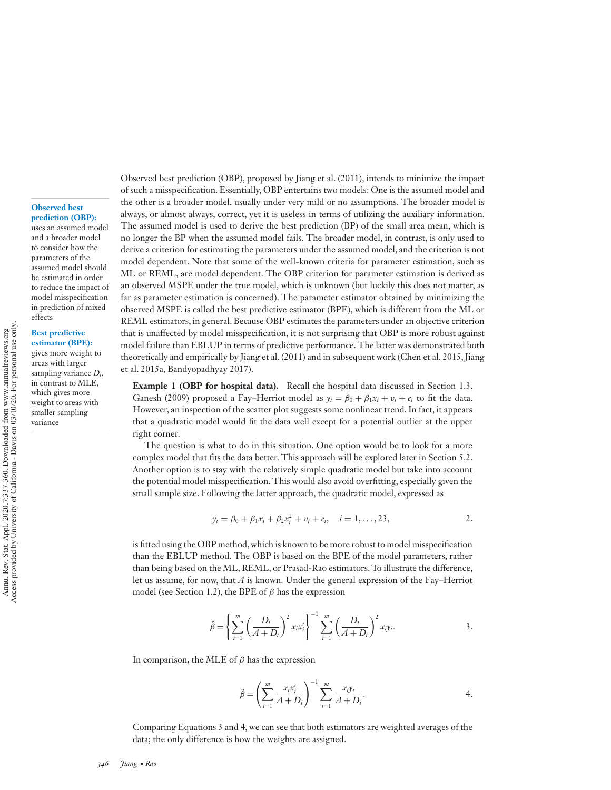#### **Observed best** *p***diction (OBP):**

es an assumed model d a broader model consider how the rameters of the umed model should estimated in order reduce the impact of del misspecification prediction of mixed ects

#### **st predictive imator (BPE):**

es more weight to as with larger npling variance  $D_i$ , contrast to MLE, ich gives more ight to areas with aller sampling iance

<span id="page-9-0"></span>Observed best prediction (OBP), proposed by Jiang et al. (2011), intends to minimize the impact of such a misspecification. Essentially, OBP entertains two models: One is the assumed model and the other is a broader model, usually under very mild or no assumptions. The broader model is always, or almost always, correct, yet it is useless in terms of utilizing the auxiliary information. The assumed model is used to derive the best prediction (BP) of the small area mean, which is no longer the BP when the assumed model fails. The broader model, in contrast, is only used to derive a criterion for estimating the parameters under the assumed model, and the criterion is not model dependent. Note that some of the well-known criteria for parameter estimation, such as ML or REML, are model dependent. The OBP criterion for parameter estimation is derived as an observed MSPE under the true model, [which is unknown](#page-21-0) (but luckily this does n[ot matter, as](#page-20-0) far as par[ameter estimation is concerned\). The parameter estimator obtained by minimizing the](#page-21-0) observed MSPE is called the best predictive estimator (BPE), which is different from the ML or REML estimators, in general. Because OBP estimates the parameters under an objective criterion that is unaffe[cted by model m](#page-20-0)isspecification, it is not surprising that OBP is more robust against model failure than EBLUP in terms of predictive performance. The latter was demonstrated both theoretically and empirically by Jiang et al. (2011) and in subsequent work (Chen et al. 2015, Jiang et al. 2015a, Bandyopadhyay 2017).

**Example 1 (OBP for hospital data).** Recall the hospital data discussed in Section 1.3. Ganesh (2009) proposed a Fay–Herriot model as  $y_i = \beta_0 + \beta_1 x_i + v_i + e_i$  to fit the data. However, an inspection of the scatter plot suggests some nonlinear trend. In fact, it appears that a quadratic model would fit the data well except for a potential outlier at the upper right corner.

The question is what to do in this situation. One option would be to look for a more complex model that fits the data better. This approach will be explored later in Section 5.2. Another option is to stay with the relatively simple quadratic model but take into account the potential model misspecification. This would also avoid overfitting, especially given the small sample size. Following the latter approach, the quadratic model, expressed as

$$
y_i = \beta_0 + \beta_1 x_i + \beta_2 x_i^2 + v_i + e_i, \quad i = 1, ..., 23,
$$

is fitted using the OBP method, which is known to be more robust to model misspecification than the EBLUP method. The OBP is based on the BPE of the model parameters, rather than being based on the ML, REML, or Prasad-Rao estimators. To illustrate the difference, let us assume, for now, that *A* is known. Under the general expression of the Fay–Herriot model (see Section 1.2), the BPE of  $\beta$  has the expression

$$
\hat{\beta} = \left\{ \sum_{i=1}^{m} \left( \frac{D_i}{A+D_i} \right)^2 x_i x_i' \right\}^{-1} \sum_{i=1}^{m} \left( \frac{D_i}{A+D_i} \right)^2 x_i y_i.
$$

In comparison, the MLE of  $\beta$  has the expression

$$
\tilde{\beta} = \left(\sum_{i=1}^{m} \frac{x_i x_i'}{A + D_i}\right)^{-1} \sum_{i=1}^{m} \frac{x_i y_i}{A + D_i}.
$$
4.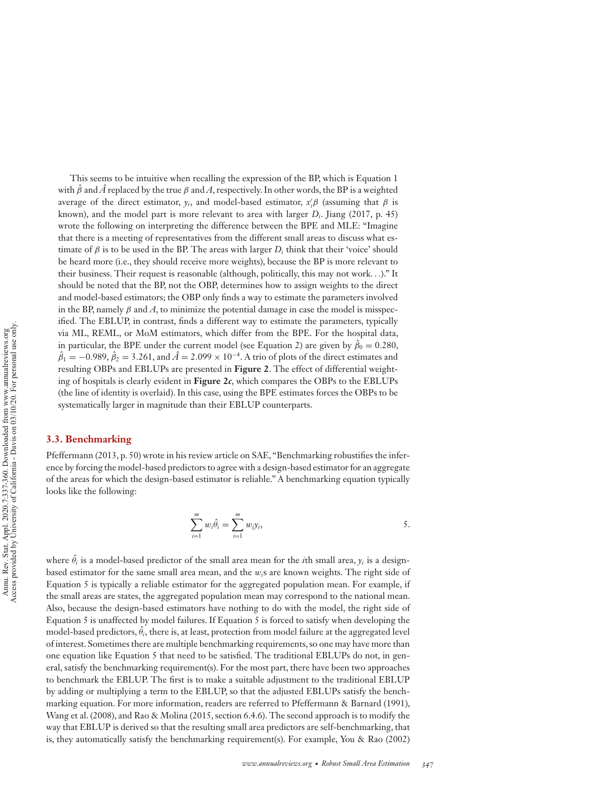<span id="page-10-0"></span>This seems to be intuitive when recalling the expression of the BP, which is Equation 1 with  $\hat{\beta}$  and  $\hat{\beta}$  replaced by the true  $\beta$  and  $\hat{\beta}$ , respectively. In other words, the BP is a weighted average of the direct estimator,  $y_i$ , and model-based estimator,  $x_i' \beta$  (assuming that  $\beta$  is known), and the model part is more relevant to area with larger *Di*. Jiang (2017, p. 45) wrote the following on interpreting the difference between the BPE and MLE: "Imagine that there is a meeting of representatives from the different small areas to discuss what estimate of  $\beta$  is to be used in the BP. The areas with larger  $D_i$  think that their 'voice' should be heard more (i.e., they should receive more weights), because the BP is more relevant to their business. Their request is reasonable (although, politicall[y, this may n](#page-9-0)ot work...)." It should be noted that the BP, not the OBP, determines how to assign weights to the direct and model-based estimators; the OBP only finds a way to estimate the parameters involved in the BP, namely  $\beta$  and  $\beta$ , to minimize the potential damage in case the model is misspecified. The EBLUP, in contrast, finds a different way to estimate the parameters, typically via ML, REML, or MoM estimators, which differ from the BPE. For the hospital data, in particular, the BPE under the current model (see Equation 2) are given by  $\hat{\beta}_0 = 0.280$ ,  $\hat{\beta}_1 = -0.989, \hat{\beta}_2 = 3.261, \text{ and } \hat{A} = 2.099 \times 10^{-4}$ . A trio of plots of the direct estimates and resulting OBPs and EBLUPs are presented in **Figure 2**. The effect of differential weighting of hospitals is clearly evident in **Figure 2***c*, which compares the OBPs to the EBLUPs (the lin[e](#page-22-0) [of](#page-22-0) [identity](#page-22-0) [is](#page-22-0) [overl](#page-22-0)aid). In this case, using the BPE estimates forces the OBPs to be systematically larger in magnitude than their EBLUP counterparts.

#### **3.3. Benchmarking**

Pfeffermann (2013, p. 50) wrote in his review article on SAE, "Benchmarking robustifies the inference by forcing the model-based predictors to agree with a design-based estimator for an aggregate of the areas for which the design-based estimator is reliable." A benchmarking equation typically looks like the following:

$$
\sum_{i=1}^{m} w_i \hat{\theta}_i = \sum_{i=1}^{m} w_i y_i,
$$
5.

where  $\hat{\theta}_i$  is a model-based predictor of the small area mean for the *i*th small area,  $y_i$  is a designbased estimator for the same small area mean, and the w*i*s are known weights. The right side of Equation 5 is typically a reliable estimator for the aggregated population mean. For example, if the small areas are states, the aggregated population mean may correspond to the national mean. Also, because the design-based estimators have nothing to do with the model, the right side of Equation 5 is unaffected by model failures. If Equation 5 is forced to satisfy when developing the model-based predictors,  $\hat{\theta}_i$ , there is, at least, protection from model failure a[t the aggregated level](#page-22-0) of interest[. Sometimes there a](#page-23-0)re m[ultiple benchmarking](#page-22-0) requirements, so one may have more than one equation like Equation 5 that need to be satisfied. The traditional EBLUPs do not, in general, satisfy the benchmarking requirement(s). For the most part, there have been two ap[proaches](#page-23-0) to benchmark the EBLUP. The first is to make a suitable adjustment to the traditional EBLUP by adding or multiplying a term to the EBLUP, so that the adjusted EBLUPs satisfy the benchmarking equation. For more information, readers are referred to Pfeffermann & Barnard (1991), Wang et al. (2008), and Rao & Molina (2015, section 6.4.6). The second approach is to modify the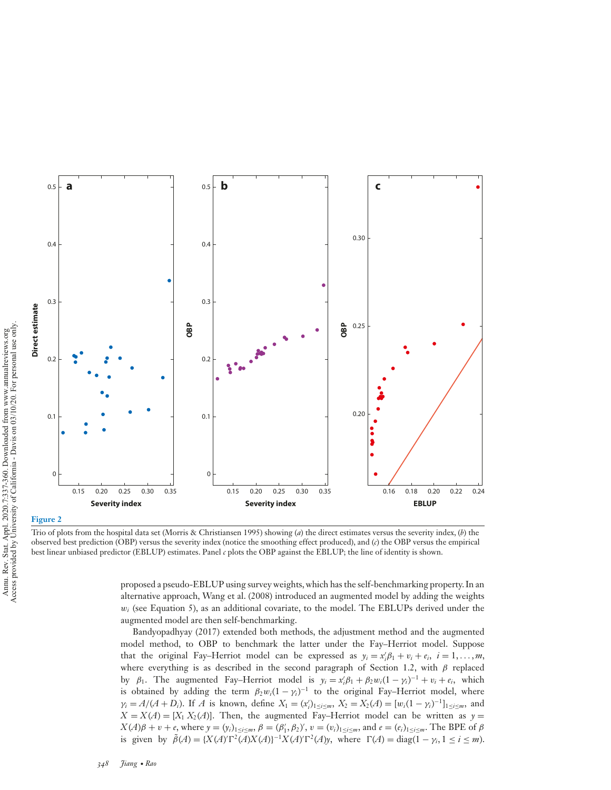

to of plots from the hospital data set (Morris & Christiansen [1995\) showing \(](#page-23-0)*a*) the direct estimates versus the severity index, (*b*) the served best prediction (OBP) versus the seve[rity index \(not](#page-10-0)ice the smoothing effect produced), and (*c*) the OBP versus the empirical best linear unbiased predictor (EBLUP) estimates. Panel *c* plots the OBP against the EBLUP; the line of identity is shown.

proposed a pseudo-EBLUP using survey weights, which has the self-benchmarking property. In an alternative approach, Wang et al. (2008) introduced an augmented model by adding the weights w*<sup>i</sup>* (see Equation 5), as an additional covariate, to the model. The EBLUPs derived under the augmented model are then self-benchmarking.

Bandyopadhyay (2017) extended both methods, the adjustment method and the augmented model method, to OBP to benchmark the latter under the Fay–Herriot model. Suppose that the original Fay–Herriot model can be expressed as  $y_i = x'_i \beta_1 + v_i + e_i$ ,  $i = 1, ..., m$ , where everything is as described in the second paragraph of Section 1.2, with  $\beta$  replaced by  $\beta_1$ . The augmented Fay–Herriot model is  $y_i = x'_i \beta_1 + \beta_2 w_i (1 - \gamma_i)^{-1} + v_i + e_i$ , which is obtained by adding the term  $\beta_2 w_i (1 - \gamma_i)^{-1}$  to the original Fay–Herriot model, where  $\gamma_i = A/(A + D_i)$ . If *A* is known, define  $X_1 = (x_i')_{1 \le i \le m}$ ,  $X_2 = X_2(A) = [w_i(1 - \gamma_i)^{-1}]_{1 \le i \le m}$ , and  $X = X(A) = [X_1 X_2(A)]$ . Then, the augmented Fay–Herriot model can be written as  $y =$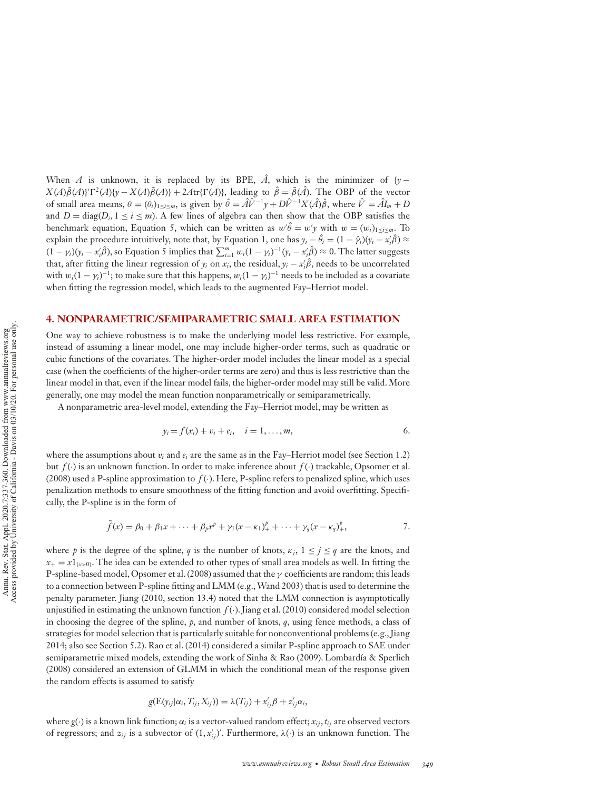When *A* is unknown, it is [replaced b](#page-10-0)y its BPE[,](#page-3-0)  $\hat{A}$ , [which](#page-3-0) [i](#page-3-0)s the minimizer of  $\{y - \hat{b}\}$  $X(A)\tilde{\beta}(A)$ ' $\Gamma^2(A)(y-X(A)\tilde{\beta}(A)) + 2A\text{tr}\{\Gamma(A)\}\text{, leading to } \hat{\beta} = \tilde{\beta}(A)$ . The OBP of the vector of small area means,  $\theta = (\theta_i)_{1 \le i \le m}$ , is given by  $\hat{\theta} = \hat{A}\hat{V}^{-1}y + D\hat{V}^{-1}X(\hat{A})\hat{\beta}$ , where  $\hat{V} = \hat{A}I_m + D$ and  $D = \text{diag}(D_i, 1 \le i \le m)$ . A few lines of algebra can then show that the OBP satisfies the benchmark equation, Equation 5, which can be written as  $w'\hat{\theta} = w'y$  with  $w = (w_i)_{1 \le i \le m}$ . To explain the procedure intuitively, note that, by Equation 1, one has  $y_i - \hat{\theta}_i = (1 - \hat{\gamma}_i)(y_i - x'_i\hat{\beta}) \approx$  $(1 - \gamma_i)(y_i - x'_i\hat{\beta})$ , so Equation 5 implies that  $\sum_{i=1}^m w_i(1 - \gamma_i)^{-1}(y_i - x'_i\hat{\beta}) \approx 0$ . The latter suggests that, after fitting the linear regression of  $y_i$  on  $x_i$ , the residual,  $y_i - x_i' \hat{\beta}$ , needs to be uncorrelated with  $w_i(1 - \gamma_i)^{-1}$ ; to make sure that this happens,  $w_i(1 - \gamma_i)^{-1}$  needs to be included as a covariate when fitting the regression model, which leads to the augmented Fay–Herriot model.

#### **4. NONPARAMETRIC/SEMIPARAMETRIC SMALL AREA ESTIMATION**

One way to achieve robustness is to make the underlying model less restrictive. For example, instead of assuming a linear model, one may include higher-order terms, such as quadratic or cubic functions of the covariates. The higher-order model includes the linear model as a special case (when the coefficients of the higher-order terms are zero) and thus is less restrictive than the linear model in that, even if the linear model fails, the higher-order model may still be valid. More generally, one may model the mean function nonparametrically or semiparametrically.

A non[parametric area-level model, extending the Fay–Herriot model, may be written as](#page-22-0)

$$
y_i = f(x_i) + v_i + e_i, \quad i = 1, ..., m,
$$
 6.

where the assumptions about  $v_i$  and  $e_i$  are the same as in the Fay–Herriot model (see Section 1.2) but  $f(\cdot)$  is an unknown function. In order to make inference about  $f(\cdot)$  trackable, Opsomer et al. (2008) used a P-spline approximation to  $f(.)$ . Here, P-spline refers to penalized spline, which uses penalization methods to ensure smoothness of the fitting function and avoid overfitting. Specifically, the P-spline is in the form [of](#page-22-0)

$$
\tilde{f}(x) = \beta_0 + \beta_1 x + \dots + \beta_p x^p + \gamma_1 (x - \kappa_1)_+^p + \dots + \gamma_q (x - \kappa_q)_+^p,
$$
\n(7.1)

where *p* is the degree of the spline[,](#page-21-0) *q* is the number of knots,  $\kappa_j$ ,  $1 \le j \le q$  $1 \le j \le q$  are the knots, and  $x_+ = x_1_{(x>0)}$ . The idea can be extended to other types of small area models as well. In fitting the P-spline-based model, Opsomer et al. [\(2008\) assumed th](#page-22-0)at the  $\gamma$  coefficients are random; this leads to a connection between P-spline fitting and LMM (e.g.,Wand [2003\) that is used to de](#page-22-0)termine the penalty p[arameter. Jiang \(2010, section 13.4\) noted that the LMM connection is asymptotically](#page-21-0) unjustified in estimating the unknown function  $f(.)$ . Jiang et al. (2010) considered model selection in choosing the degree of the spline, *p*, and number of knots, *q*, using fence methods, a class of strategies for model selection that is particularly suitable for nonconventional problems (e.g., Jiang 2014; also see Section 5.2). Rao et al. (2014) considered a similar P-spline approach to SAE under semiparametric mixed models, extending the work of Sinha & Rao (2009). Lombardía & Sperlich (2008) considered an extension of GLMM in which the conditional mean of the response given the random effects is assumed to satisfy

$$
g(\mathbf{E}(y_{ij}|\alpha_i,T_{ij},X_{ij}))=\lambda(T_{ij})+x'_{ij}\beta+z'_{ij}\alpha_i,
$$

where *g*(·) is a known link function; α*<sup>i</sup>* is a vector-valued random effect; *xi j*,*ti j* are observed vectors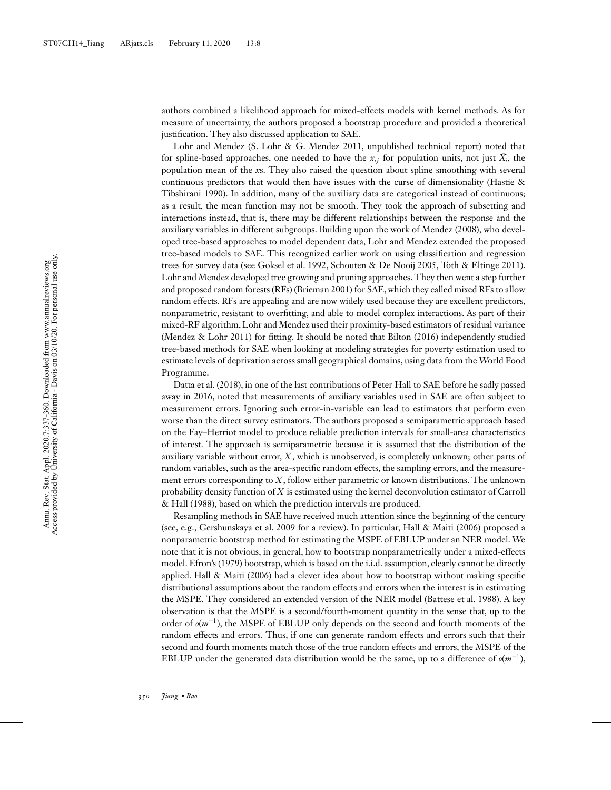authors combined a likelihood approach for mixed-effects models with kernel methods. As for measure of uncertainty, the authors proposed a bootstrap procedure and provided a theoretical justification. They also discussed application to SAE.

Lohr and Mendez (S. Lohr & G. Mendez 2011, unpublished technical report) noted that for spline-based approaches, one needed to have the  $x_{ij}$  for population units, not just  $\bar{X}_i$ , the population mean of the *x*s. They also raised the question about spline smoothing with several continuous predictors that would then have issues with the curse of dimensionality (Hastie & [Tibshirani 1990\). In addition, many of the auxiliary data are categorical instead of continuous;](#page-21-0) as a result, the mean function may not be smooth. They took the approach of subsetting and interactions instead, that is, there may be different relationships between the response and the auxiliary variables in different subgroups. Building upon the work of [Mendez \(2008\),](#page-22-0) who developed tree-based approaches to model dependent data, Lohr and Mendez extended the proposed tree-based models to SAE. This recognized earlier work on using classification and regression trees for survey data (see [Goksel et al. 1992,](#page-20-0) [Schouten & De Nooij 2005,](#page-22-0) [Toth & Eltinge 2011\)](#page-23-0). Lohr and Mendez developed tree growing and pruning approaches. They then went a step further and proposed random forests (RFs) [\(Brieman 2001\)](#page-19-0) for SAE, which they called mixed RFs to allow random effects. RFs are appealing and are now widely used because they are excellent predictors, nonparametric, resistant to overfitting, and able to model complex interactions. As part of their mixed-RF algorithm, Lohr and Mendez used their proximity-based estimators of residual variance [\(Mendez & Lohr 2011\)](#page-22-0) for fitting. It should be noted that [Bilton \(2016\)](#page-19-0) independently studied tree-based methods for SAE when looking at modeling strategies for poverty estimation used to estimate levels of deprivation across small geographical domains, using data from the World Food Programme.

[Datta et al. \(2018\),](#page-20-0) in one of the last contributions of Peter Hall to SAE before he sadly passed away in 2016, noted that measurements of auxiliary variables used in SAE are often subject to measurement errors. Ignoring such error-in-variable can lead to estimators that perform even worse than the direct survey estimators. The authors proposed a semiparametric approach based on the Fay–Herriot model to produce reliable prediction intervals for small-area characteristics of interest. The approach is semiparametric because it is assumed that the distribution of the auxiliary variable without error, *X* , which is unobserved, is completely unknown; other parts of random variables, such as the area-specific random effects, the sampling errors, and the measurement errors corresponding to *X* , follow either parametric or known distributions. The unknown probability density function of *X* is estimated using the kernel deconvolution estimator of Carroll [& Hall \(1988\), based on which the prediction intervals are produced.](#page-19-0)

Resampling methods in SAE have received much attention since the beginning of the century (see, e.g., [Gershunskaya et al. 2009](#page-20-0) for a review). In particular, [Hall & Maiti \(2006\)](#page-21-0) proposed a nonparametric bootstrap method for estimating the MSPE of EBLUP under an NER model. We note that it is not obvious, in general, how to bootstrap nonparametrically under a mixed-effects model. [Efron's \(1979\)](#page-20-0) bootstrap, which is based on the i.i.d. assumption, clearly cannot be directly applied. [Hall & Maiti \(2006\)](#page-21-0) had a clever idea about how to bootstrap without making specific distributional assumptions about the random effects and errors when the interest is in estimating the MSPE. They considered an extended version of the NER model [\(Battese et al. 1988\)](#page-19-0). A key observation is that the MSPE is a second/fourth-moment quantity in the sense that, up to the order of *o*(*m*<sup>−</sup><sup>1</sup> ), the MSPE of EBLUP only depends on the second and fourth moments of the random effects and errors. Thus, if one can generate random effects and errors such that their second and fourth moments match those of the true random effects and errors, the MSPE of the EBLUP under the generated data distribution would be the same, up to a difference of  $o(m^{-1})$ ,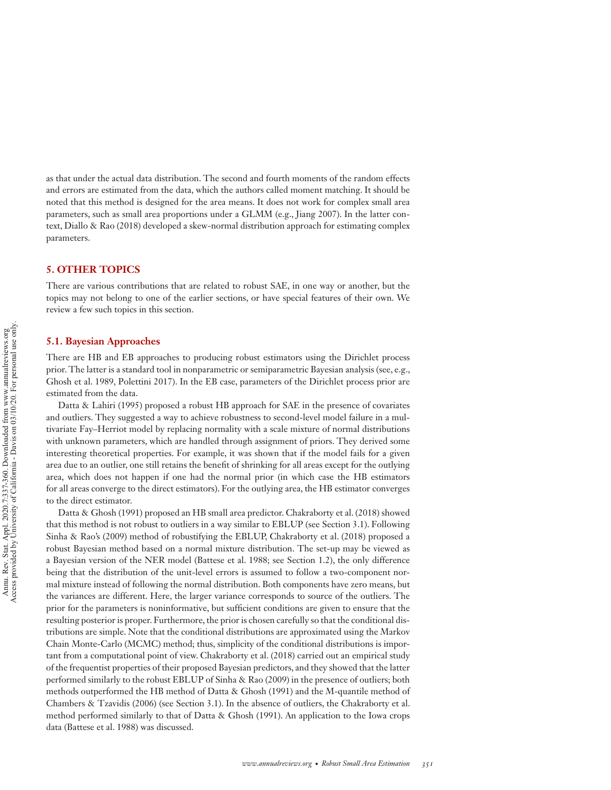as that under the actual data distribution. The second and fourth moments of the random effects and errors are estimated from the data, which the authors called moment matching. It should be noted that this method is designed for the area means. It does not work for complex small area parameters, such as small area proportions under a GLMM (e.g., Jiang 2007). In the latter context, Diallo & Rao (2018) developed a skew-normal distribution approach for estimating complex parameters.

#### **5. OTHER TOPICS**

There are various contributions that are related to robust SAE, in one way or another, but the topics may not belong to one of the earlier sections, or have special features of their own. We review a f[ew such topics in th](#page-20-0)[is section.](#page-22-0)

#### **5.1. Bayesi[an](#page-20-0) [Approaches](#page-20-0)**

There are HB and EB approaches to producing robust estimators using the Dirichlet process prior. The latter is a standard tool in nonparametric or semiparametric Bayesian analysis (see, e.g., Ghosh et al. 1989, Polettini 2017). In the EB case, parameters of the Dirichlet process prior are estimated from the data.

Datta & Lahiri (1995) proposed a robust HB approach for SAE in the presence of covariates and outliers. They suggested a way to achieve robustness to second-level model failure in a multivariate Fay–Herriot model by replacing normality with a scale mixture of normal distributions with unknow[n parameters, which are](#page-20-0) handled through assignment of pri[ors. They derived some](#page-19-0) interesting theoretical properties. For example, it was shown that if the model fails for a given area due t[o an outlier, one still re](#page-22-0)tains the benefit of shrinking for all a[reas except for the outlying](#page-19-0) area, which does not happen if one had the normal prior (in which case the HB estimators for all areas converge to the direct estimators). For [the outlying area, th](#page-19-0)e HB estimator converges to the direct estimator.

Datta & Ghosh (1991) proposed an HB small area predictor. Chakraborty et al. (2018) showed that this method is not robust to outliers in a way similar to EBLUP (see Section 3.1). Following Sinha & Rao's (2009) method of robustifying the EBLUP, Chakraborty et al. (2018) proposed a robust Bayesian method based on a normal mixture distribution. The set-up may be viewed as a Bayesian version of the NER model (Battese et al. 1988; see Section 1.2), the only difference being that the distribution of the unit-level errors is assumed to follow a two-component normal mixture instead of following the normal distrib[ution. Both components ha](#page-19-0)ve zero means, but the variances are different. Here, the larger variance corresponds to source of the outliers. The prior for the parameters is noninformative, but sufficie[nt conditions are give](#page-22-0)n to ensure that the resulting posterior is proper. Furthermore, the prior is [chosen carefully so that](#page-20-0) the conditional distributions [are simple. Note that the cond](#page-19-0)itional distributions are approximated using the Markov Chain Monte-Carlo (MCMC) method; thus, sim[plicity of the conditional](#page-20-0) distributions is important from a co[mputational point of](#page-19-0) view. Chakraborty et al. (2018) carried out an empirical study of the frequentist properties of their proposed Bayesian predictors, and they showed that the latter performed similarly to the robust EBLUP of Sinha & Rao (2009) in the presence of outliers; both methods outperformed the HB method of Datta & Ghosh (1991) and the M-quantile method of Chambers & Tzavidis (2006) (see Section 3.1). In the absence of outliers, the Chakraborty et al. method performed similarly to that of Datta & Ghosh (1991). An application to the Iowa crops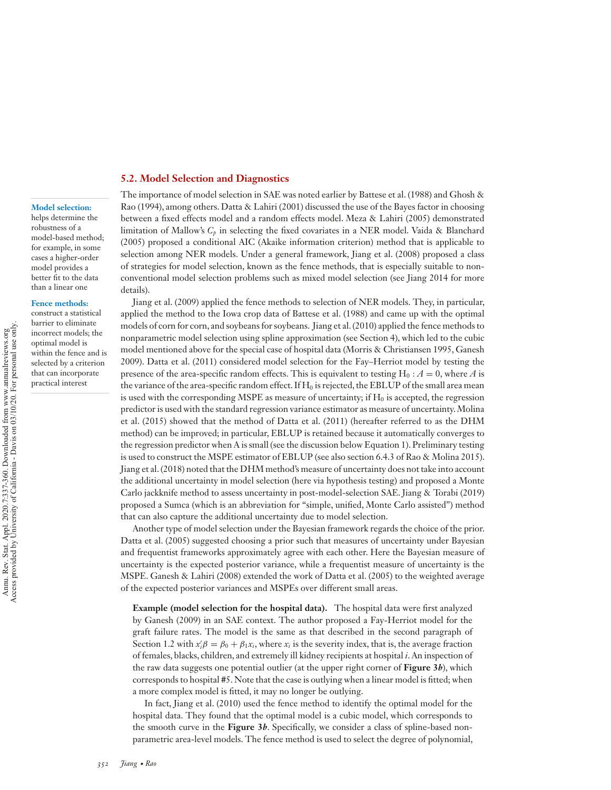#### **5.2. Mo[del Selection and Diagnostics](#page-23-0)**

# **Model** selection:

ps determine the oustness of a del-based method; example, in some es a higher-order del provides a ter fit to the data n a linear one

# **Fence methods:**

nstruct a statistical rier to eliminate orrect models; the timal model is hin the fence and is ected by a criterion t can incorporate ctical interest

The importance of model selection in SAE was noted earlier by Battese [et](#page-21-0) [al.](#page-21-0) [\(1988\)](#page-21-0) [and](#page-21-0) [Gh](#page-21-0)osh & Rao (1994), among others. Datta & Lahiri (2001) discussed the use of the Bayes factor i[n choosing](#page-21-0) between a fixed effects model and a random effects model. Meza & Lahiri (2005) demonstrated limitation of [Mallow's](#page-21-0) *Cp* in selecting the fixed covariates in a NER model. Vaida & Blanchard (2005) proposed a conditional AIC (Akaike informatio[n criterion\) method t](#page-19-0)hat is applicable to selection among NER models. Under a general framework, [Jiang et al. \(2008\)](#page-21-0) proposed a class of strategies for model selection, known as the fence methods, that is especially suitable to nonconventio[nal model selection problems such as mixed model selection](#page-20-0)[\(see](#page-20-0)[Jiang](#page-20-0)[2014](#page-20-0)[for](#page-20-0)[more](#page-20-0) details).

Jiang et al. (2[009\)](#page-20-0) [applied](#page-20-0) [the](#page-20-0) [fenc](#page-20-0)e methods to selection of NER models. They, in particular, applied the method to the Iowa crop data of Battese et al. (1988) and came up with the optimal models of corn for corn, and soybeans for soybeans. Jiang et al. (2010) applied the fence methods to nonparametric model selection using spline approximation (see Section 4), which led to the cubic model me[ntioned above for the special case of hospital data \(Morris & Christiansen 1995, Ganesh](#page-22-0) 2009). Datta et al. (2011) considered model selection for the Fay–Herriot model by testing the presence of the area-specific random effects. This is equivalent to testing  $H_0: A = 0$ , where *A* is the variance [of](#page-3-0) [the](#page-3-0) area-specific random effect. If  $H_0$  is rejected, the EBLUP of the [small](#page-3-0) [area mean](#page-22-0) is used wit[h the correspondin](#page-21-0)g MSPE as measure of uncertainty; if  $H_0$  is accepted, the regression predictor is used with the standard regression variance estimator as measure of uncertainty.Molina et al. (2015) showed that the method of Datta et al. (2011) (hereafter referred to a[s the DHM](#page-21-0) method) can be improved; in particular, EBLUP is retained because it automatically converges to the regression predictor when A is small (see the discussion below Equation 1). Preliminary testing is used to construct the MSPE estimator of EBLUP (see also section 6.4.3 of Rao & Molina 2015). Jiang et al. [\(2018\) noted that th](#page-20-0)e DHM method's measure of uncertainty does not take into account the additional uncertainty in model selection (here via hypothesis testing) and proposed a Monte Carlo jackknife method to assess uncertainty in post-model-selection SAE. Jiang & Torabi (2019) proposed a Sumca [\(which is an abbreviation](#page-20-0) for "simple, unified, [Monte Carlo assist](#page-20-0)ed") method that can also capture the additional uncertainty due to model selection.

Another type of model selection under the Bayesian framework regards the choice of the prior. Datta et al. (2005) suggested choosing a prior such that measures of uncertainty under Bayesian and frequentist f[rameworks appr](#page-20-0)oximately agree with each other. Here the Bayesian measure of uncertainty is the expected posterior variance, while a frequentist measure of uncertainty is the MSPE. Ganesh & Lahiri (2008) extended the work of Datta et al. (2005) to the weighted average of the expected posterior variances and MSPEs over different small areas.

**Example (model selection for the hospital data).** The hospital data were first analyzed by Ganesh (2009) in an SAE context. The author proposed a Fay-Herriot model for the graft failure rates. T[he model is the sa](#page-21-0)me as that described in the second paragraph of Section 1.2 with  $x_i^j \beta = \beta_0 + \beta_1 x_i$ , where  $x_i$  is the severity index, that is, the average fraction of females, blacks, children, and extremely ill kidney recipients at hospital *i*. An inspection of the raw data suggests one potential outlier (at the upper right corner of **Figure 3***b*), which corresponds to hospital #5. Note that the case is outlying when a linear model is fitted; when a more complex model is fitted, it may no longer be outlying.

In fact, Jiang et al. (2010) used the fence method to identify the optimal model for the hospital data. They found that the optimal model is a cubic model, which corresponds to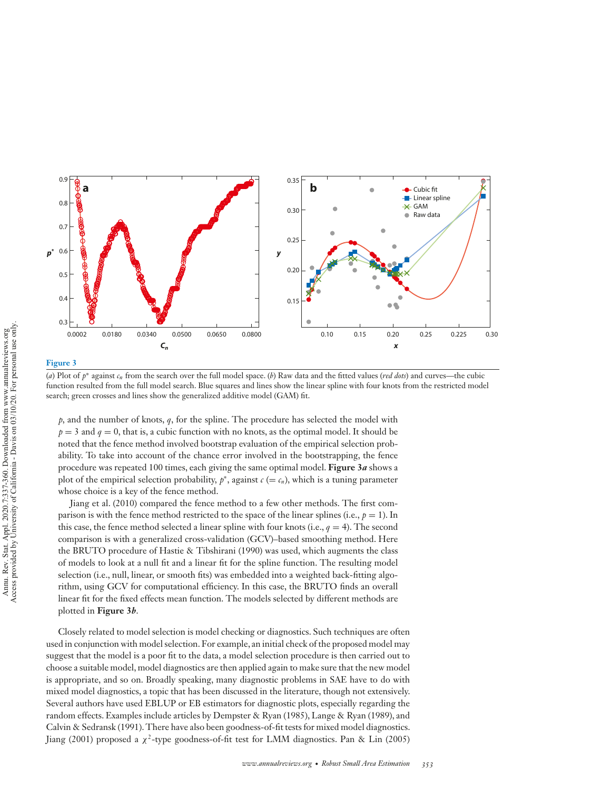

#### **Figure 3**

(*a*) Plot of *p*<sup>∗</sup> against *cn* from the search over the full model space. (*b*) Raw data and the fitted values (*red dots*) and curves—the cubic function resulted from the full model search. Blue squares and lines show the linear spline with four knots from the restricted model search; green crosses and lines show the generalized additive model (GAM) fit.

*p*, and the number of knots, *q*, for the spline. The procedure has selected the model with  $p = 3$  and  $q = 0$ , that is, a cubic function with no knots, as the optimal model. It should be noted that the fence method involved bootstrap evaluation of the empirical selection probability. To take into account of the chance error involved in the bootstrapping, the fence procedure was repeated 100 times, each giving the same optimal model. **Figure 3***a* shows a plot of the empirical selection probability,  $p^*$ [, against](#page-21-0)  $c (= c_n)$ , which is a tuning parameter whose choice is a key of the fence method.

Jiang et al. (2010) compared the fence method to a few other methods. The first comparison is with the fence method restricted to the space of the linear splines (i.e.,  $p = 1$ ). In this case, the fence method selected a linear spline with four knots (i.e.,  $q = 4$ ). The second comparison is with a generalized cross-validation (GCV)–based smoothing method. Here the BRUTO procedure of Hastie & Tibshirani (1990) was used, which augments the class of models to look at a null fit and a linear fit for the spline function. The resulting model selection (i.e., null, linear, or smooth fits) was embedded into a weighted back-fitting algorithm, using GCV for computational efficiency. In this case, the BRUTO finds an overall linear fit for the fixed effects mean function. The models selected by different methods are plotted in **Figure 3***b*.

Closely related to model selection is model checking or diagnostics. Such techniques are often used in conjunction with model selection. For example, [an initial check of the prop](#page-20-0)[osed model may](#page-21-0) suggest th[at the model is a poor fit to](#page-19-0) the data, a model selection procedure is then carried out to choose a s[uitable model,](#page-21-0) model diagnostics are then applied again to make sure that the ne[w model](#page-22-0) is appropriate, and so on. Broadly speaking, many diagnostic problems in SAE have to do with mixed model diagnostics, a topic that has been discussed in the literature, though not extensively. Several authors have used EBLUP or EB estimators for diagnostic plots, especially regarding the random effects. Examples include articles by Dempster & Ryan (1985), Lange & Ryan (1989), and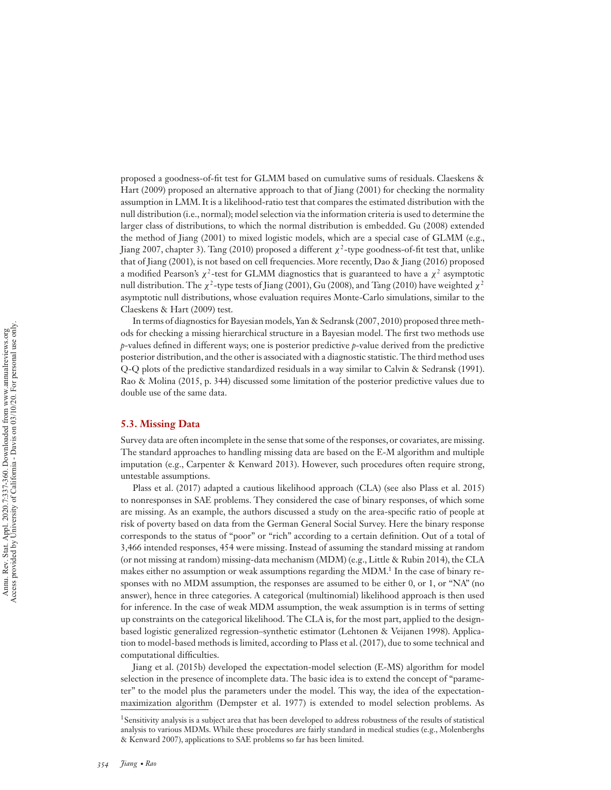proposed [a goodness-](#page-21-0)of-[fit](#page-21-0) [test](#page-21-0) [fo](#page-21-0)[r GLMM ba](#page-22-0)sed on cumulative sums of residuals. Claeskens & Hart (2009) prop[osed an altern](#page-21-0)ative approach to that of Jiang (2001) for chec[king the normality](#page-20-0) assumption in LMM. It is a likelihood-ratio test that compares the estimated distribution with the null distribution (i.e., normal); model selection vi[a the informa](#page-21-0)[tion criteria](#page-20-0) is u[sed to determ](#page-22-0)ine the larger class of distributions, to which the normal distribution is embedded. Gu (2008) extended the metho[d of Jiang \(2001\) to mixe](#page-20-0)d logistic models, which are a special case of GLMM (e.g., Jiang 2007, chapter 3). Tang (2010) proposed a different  $\chi^2$ -type goodness-of-fit test that, unlike that of Jiang (2001), is not based on cell frequencies. More recently, Dao & Jiang (2016) proposed a modified Pearson's  $\chi^2$ -test for GLMM diagnostics that is guaranteed to have a  $\chi^2$  asymptotic null distribution. The  $\chi^2$ -type tests of Jiang (2001), Gu (2008), and Tang (2010) have weighted  $\chi^2$ asymptotic null distributions, whose evaluation requires Monte-Carlo simulatio[ns, similar to the](#page-19-0) Claeskens [& Hart \(2009\) test.](#page-22-0)

In terms of diagnostics for Bayesian models, Yan & Sedransk (2007, 2010) proposed three methods for checking a missing hierarchical structure in a Bayesian model. The first two methods use *p*-values defined in different ways; one is posterior predictive *p*-value derived from the predictive posterior distribution, and the other is associated with a diagnostic statistic. The third method uses Q-Q plots of the predictive standardized residuals in a way similar to Calvin & Sedransk (1991). Rao & Molina (2015, p. 344) discussed some limitation of the posterior predictive values due to double use of the same data[.](#page-19-0)

#### **5.3. Missin[g](#page-22-0) [Data](#page-22-0)**

Survey data are often incomplete in the sense that some of the responses, or covariates, are missing. The standard approaches to handling missing data are based on the E-M algorithm and multiple imputation (e.g., Carpenter & Kenward 2013). However, such procedures often require strong, untestable assumptions.

Plass et al. (2017) adapted a cautious likelihood approach (CLA) (see al[so Plass et al. 2015\)](#page-21-0) to nonresponses in SAE problems. They considered the case of binary responses, of which some are missing. As an example, the authors discussed a study on the area-specific ratio of people at risk of poverty based on data from the German General Social Survey. Here the binary response corresponds to the status of "poor" or "rich" according to a certain definition. Out of a total of 3,466 intended responses, 454 were missing. Instead of assuming the standard missing at random (or not missing at random) missing-data mechanism (MDM) (e.g., Lit[tle & Rubin 2014\), the CLA](#page-21-0) makes either no assumption or weak assumptions regarding the MDM.<sup>1</sup> In the case of binary responses with no MDM assumption, the responses are assumed to be either 0, or 1, or "NA" (no answer), henc[e in three categories](#page-21-0). A categorical (multinomial) likelihood approach is then used for inference. In the case of weak MDM assumption, the weak assumption is in terms of setting up constraints on the categorical likelihood. The CLA is, for the most part, applied to the designbased logistic generalized regression[–synthetic estimator \(L](#page-20-0)ehtonen & Veijanen 1998). Application to model-based methods is limited, according to Plass et al. (2017), due to some technical and computational difficulties.

Jiang e[t al. \(2015b\) developed the expectation-model selection \(E-MS\) algorithm for model](#page-22-0) selection in the presence of incomplete data. The basic idea is to extend the concept of "parameter" to the model plus the parameters under the model. This way, the idea of the expectationmaximization algorithm (Dempster et al. 1977) is extended to model selection problems. As

<sup>&</sup>lt;sup>1</sup>Sensitivity analysis is a subject area that has been developed to address robustness of the results of statistical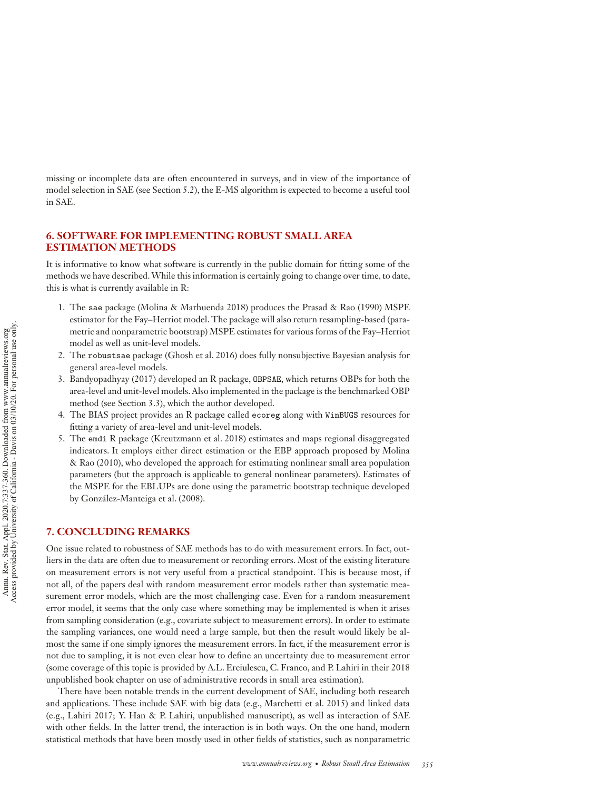missing or incomplete data are often encountered in surveys, and in view of the importance of model selection in SAE (see Section 5.2), the E-MS algorithm is expected to become a useful tool in SAE.

# **6. SOFTWARE FOR IMPLE[MENTING ROBUST S](#page-22-0)MALL AR[EA](#page-22-0) ESTIMATION METHODS**

It is informative to know what software is currently in the public domain for fitting some of the methods we have described.While this information is certainly going to change over time, to date, this is what is currently available in R:

- 1. The sae [package \(Molina & Marh](#page-19-0)uenda 2018) produces the Prasad & Rao (1990) MSPE estimator for the Fay–Herriot model. The package will also return resampling-based (parametric and nonparametric bootstrap) MSPE estimates for various forms of the Fay–Herriot model as well as unit-level models.
- 2. The robustsae package (Ghosh et al. 2016) does fully nonsubjective Bayesian analysis for general area-level models.
- 3. Bandyopadhyay (2017) developed an R package, OBPSAE, which returns OBPs for both the area-level [and unit-level models. Also implemented in the package is the benchmarked OBP](#page-22-0) method (see Section 3.3), which the author developed.
- 4. The BIAS project provides an R package called ecoreg along with WinBUGS resources for fitting a varie[ty of area-level and unit-level mo](#page-20-0)dels.
- 5. The emdi R package (Kreutzmann et al. 2018) estimates and maps regional disaggregated indicators. It employs either direct estimation or the EBP approach proposed by Molina & Rao (2010), who developed the approach for estimating nonlinear small area population parameters (but the approach is applicable to general nonlinear parameters). Estimates of the MSPE for the EBLUPs are done using the parametric bootstrap technique developed by González-Manteiga et al. (2008).

### **7. CONCLUDING REMARKS**

One issue related to robustness of SAE methods has to do with measurement errors. In fact, outliers in the data are often due to measurement or recording errors. Most of the existing literature on measurement errors is not very useful from a practical standpoint. This is because most, if not all, of the papers deal with random measurement error models rather than systematic measurement error models, which are the most challenging case. Even for a random measurement error model, it seems that the only case where something may be implemented is when it arises from sampling consideration (e.g., covariate subject to measurement errors). In order to estimate the sampling variances, one would need a large sample, but then t[he result would likely](#page-21-0) be almost the same i[f one simply i](#page-21-0)gnores the measurement errors. In fact, if the measurement error is not due to sampling, it is not even clear how to define an uncertainty due to measurement error (some coverage of this topic is provided by A.L. Erciulescu, C. Franco, and P. Lahiri in their 2018 unpublished book chapter on use of administrative records in small area estimation).

There have been notable trends in the current development of SAE, including both research and applications. These include SAE with big data (e.g., Marchetti et al. 2015) and linked data (e.g., Lahiri 2017; Y. Han & P. Lahiri, unpublished manuscript), as well as interaction of SAE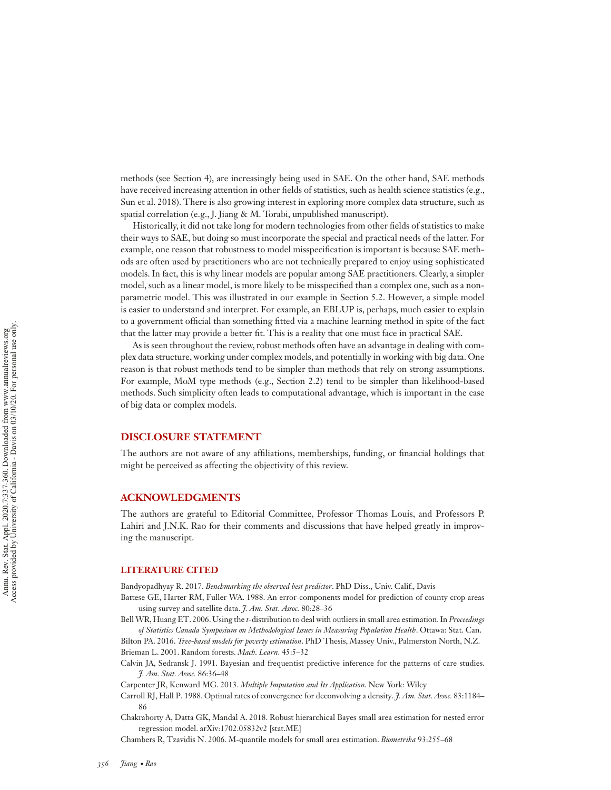<span id="page-19-0"></span>methods (see Section 4), are increasingly being used in SAE. On the other hand, SAE methods have received increasing attention in other fields of statistics, such as health science statistics (e.g., Sun et al. 2018). There is also growing interest in exploring more complex data structure, such as spatial correlation (e.g., J. Jiang & M. Torabi, unpublished manuscript).

Historically, it did not take long for modern technologies from other fields of statistics to make their ways to SAE, but doing so must incorporate the special and practical needs of the latter. For example, one reason that robustness to model misspecification is important is because SAE methods are often used by practitioners who are not technically prepared to enjoy using sophisticated models. In fact, this is why linear models are popular among SAE practitioners. Clearly, a simpler model, such as a linear model, is more likely to be misspecified than a complex one, such as a nonparametric model. This was illustrated in our example in Section 5.2. However, a simple model is easier to understand and interpret. For example, an EBLUP is, perhaps, much easier to explain to a government official than something fitted via a machine learning method in spite of the fact that the latter may provide a better fit. This is a reality that one must face in practical SAE.

As is seen throughout the review, robust methods often have an advantage in dealing with complex data structure, working under complex models, and potentially in working with big data. One reason is that robust methods tend to be simpler than methods that rely on strong assumptions. For example, MoM type methods (e.g., Section 2.2) tend to be simpler than likelihood-based methods. Such simplicity often leads to computational advantage, which is important in the case of big data or complex models.

#### **DISCLOSURE STATEMENT**

The authors are not aware of any affiliations, memberships, funding, or financial holdings that might be perceived as affecting the objectivity of this review.

#### **ACKNOWLEDGMENTS**

The authors are grateful to Editorial Committee, Professor Thomas Louis, and Professors P. Lahiri and J.N.K. Rao for their comments and discussions that have helped greatly in improving the manuscript.

#### **LITERATURE CITED**

Bandyopadhyay R. 2017. *Benchmarking the observed best predictor*. PhD Diss., Univ. Calif., Davis

- Battese GE, Harter RM, Fuller WA. 1988. An error-components model for prediction of county crop areas using survey and satellite data. *J. Am. Stat. Assoc.* 80:28–36
- Bell WR, Huang ET. 2006. Using the *t*-distribution to deal with outliers in small area estimation. In *Proceedings of Statistics Canada Symposium on Methodological Issues in Measuring Population Health*. Ottawa: Stat. Can.

Bilton PA. 2016. *Tree-based models for poverty estimation*. PhD Thesis, Massey Univ., Palmerston North, N.Z. Brieman L. 2001. Random forests. *Mach. Learn.* 45:5–32

Calvin JA, Sedransk J. 1991. Bayesian and frequentist predictive inference for the patterns of care studies. *J. Am. Stat. Assoc.* 86:36–48

Carpenter JR, Kenward MG. 2013. *Multiple Imputation and Its Application*. New York: Wiley

- Carroll RJ, Hall P. 1988. Optimal rates of convergence for deconvolving a density. *J. Am. Stat. Assoc.* 83:1184– 86
- Chakraborty A, Datta GK, Mandal A. 2018. Robust hierarchical Bayes small area estimation for nested error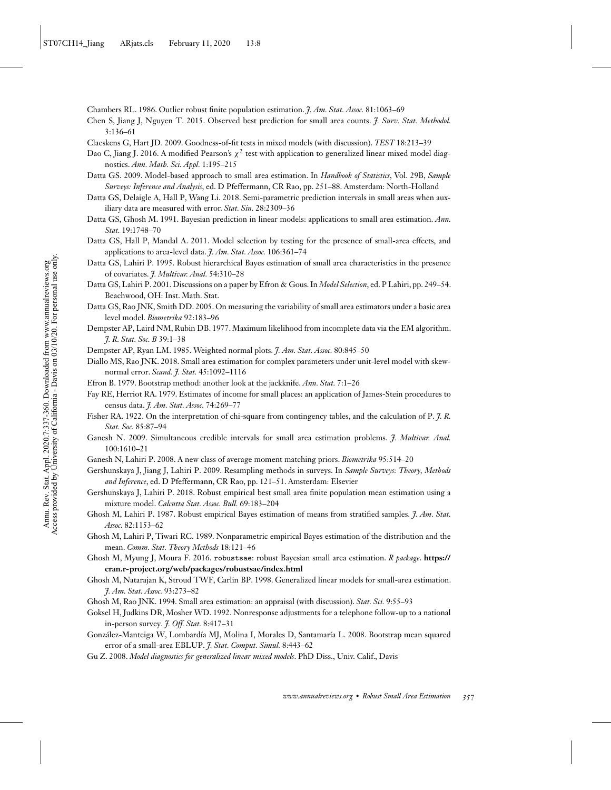- Chen S, Jiang J, Nguyen T. 2015. Observed best prediction for small area counts. *J. Surv. Stat. Methodol.* 3:136–61
- Claeskens G, Hart JD. 2009. Goodness-of-fit tests in mixed models (with discussion). *TEST* 18:213–39
- Dao C, Jiang J. 2016. A modified Pearson's  $\chi^2$  test with application to generalized linear mixed model diagnostics. *Ann. Math. Sci. Appl.* 1:195–215
- Datta GS. 2009. Model-based approach to small area estimation. In *Handbook of Statistics*, Vol. 29B, *Sample Surveys: Inference and Analysis*, ed. D Pfeffermann, CR Rao, pp. 251–88. Amsterdam: North-Holland
- Datta GS, Delaigle A, Hall P, Wang Li. 2018. Semi-parametric prediction intervals in small areas when auxiliary data are measured with error. *Stat. Sin.* 28:2309–36
- Datta GS, Ghosh M. 1991. Bayesian prediction in linear models: applications to small area estimation. *Ann. Stat.* 19:1748–70
- Datta GS, Hall P, Mandal A. 2011. Model selection by testing for the presence of small-area effects, and applications to area-level data. *J. Am. Stat. Assoc.* 106:361–74
- Datta GS, Lahiri P. 1995. Robust hierarchical Bayes estimation of small area characteristics in the presence of covariates. *J. Multivar. Anal.* 54:310–28
- Datta GS, Lahiri P. 2001. Discussions on a paper by Efron & Gous. In *Model Selection*, ed. P Lahiri, pp. 249–54. Beachwood, OH: Inst. Math. Stat.
- Datta GS, Rao JNK, Smith DD. 2005. On measuring the variability of small area estimators under a basic area level model. *Biometrika* 92:183–96
- Dempster AP, Laird NM, Rubin DB. 1977. Maximum likelihood from incomplete data via the EM algorithm. *J. R. Stat. Soc. B* 39:1–38
- Dempster AP, Ryan LM. 1985. Weighted normal plots. *J. Am. Stat. Assoc.* 80:845–50
- Diallo MS, Rao JNK. 2018. Small area estimation for complex parameters under unit-level model with skewnormal error. *Scand. J. Stat.* 45:1092–1116
- Efron B. 1979. Bootstrap method: another look at the jackknife. *Ann. Stat.* 7:1–26
- Fay RE, Herriot RA. 1979. Estimates of income for small places: an application of James-Stein procedures to census data. *J. Am. Stat. Assoc.* 74:269–77
- Fisher RA. 1922. On the interpretation of chi-square from contingency tables, and the calculation of P. *J. R. Stat. Soc.* 85:87–94
- Ganesh N. 2009. Simultaneous credible intervals for small area estimation problems. *J. Multivar. Anal.* 100:1610–21
- Ganesh N, Lahiri P. 2008. A new class of average moment matching priors. *Biometrika* 95:514–20
- Gershunskaya J, Jiang J, Lahiri P. 2009. Resampling methods in surveys. In *Sample Surveys: Theory, Methods and Inference*, ed. D Pfeffermann, CR Rao, pp. 121–51. Amsterdam: Elsevier
- Gershunskaya J, Lahiri P. 2018. Robust empirical best small area finite population mean estimation using a mixture model. *Calcutta Stat. Assoc. Bull.* 69:183–204
- Ghosh M, Lahiri P. 1987. Robust empirical Bayes estimation of means from stratified samples. *J. Am. Stat. Assoc.* 82:1153–62
- Ghosh M, Lahiri P, Tiwari RC. 1989. Nonparametric empirical Bayes estimation of the distribution and the mean. *Comm. Stat. Theory Methods* 18:121–46
- Ghosh M, Myung J, Moura F. 2016. robustsae: robust Bayesian small area estimation. *R package*. **https:// [cran.r-project.org/web/packages/robustsae/index.html](https://cran.r-project.org/web/packages/robustsae/index.html)**
- Ghosh M, Natarajan K, Stroud TWF, Carlin BP. 1998. Generalized linear models for small-area estimation. *J. Am. Stat. Assoc.* 93:273–82
- Ghosh M, Rao JNK. 1994. Small area estimation: an appraisal (with discussion). *Stat. Sci.* 9:55–93
- Goksel H, Judkins DR, Mosher WD. 1992. Nonresponse adjustments for a telephone follow-up to a national in-person survey. *J. Off. Stat.* 8:417–31
- González-Manteiga W, Lombardía MJ, Molina I, Morales D, Santamaría L. 2008. Bootstrap mean squared error of a small-area EBLUP. *J. Stat. Comput. Simul.* 8:443–62
- Gu Z. 2008. *Model diagnostics for generalized linear mixed models*. PhD Diss., Univ. Calif., Davis

<span id="page-20-0"></span>Chambers RL. 1986. Outlier robust finite population estimation. *J. Am. Stat. Assoc.* 81:1063–69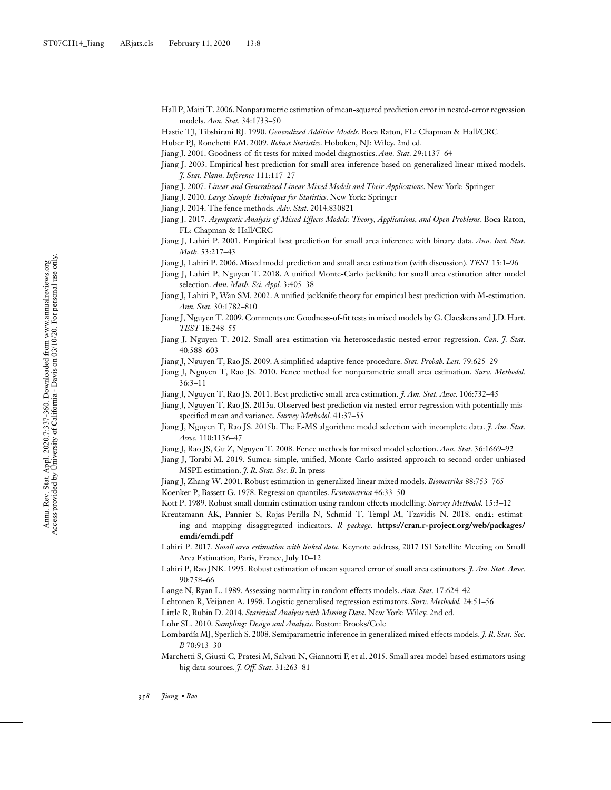- <span id="page-21-0"></span>Hall P, Maiti T. 2006. Nonparametric estimation of mean-squared prediction error in nested-error regression models. *Ann. Stat.* 34:1733–50
- Hastie TJ, Tibshirani RJ. 1990. *Generalized Additive Models*. Boca Raton, FL: Chapman & Hall/CRC
- Huber PJ, Ronchetti EM. 2009. *Robust Statistics*. Hoboken, NJ: Wiley. 2nd ed.
- Jiang J. 2001. Goodness-of-fit tests for mixed model diagnostics. *Ann. Stat.* 29:1137–64
- Jiang J. 2003. Empirical best prediction for small area inference based on generalized linear mixed models. *J. Stat. Plann. Inference* 111:117–27
- Jiang J. 2007. *Linear and Generalized Linear Mixed Models and Their Applications*. New York: Springer
- Jiang J. 2010. *Large Sample Techniques for Statistics*. New York: Springer
- Jiang J. 2014. The fence methods. *Adv. Stat.* 2014:830821
- Jiang J. 2017. *Asymptotic Analysis of Mixed Effects Models: Theory, Applications, and Open Problems*. Boca Raton, FL: Chapman & Hall/CRC
- Jiang J, Lahiri P. 2001. Empirical best prediction for small area inference with binary data. *Ann. Inst. Stat. Math.* 53:217–43
- Jiang J, Lahiri P. 2006. Mixed model prediction and small area estimation (with discussion). *TEST* 15:1–96
- Jiang J, Lahiri P, Nguyen T. 2018. A unified Monte-Carlo jackknife for small area estimation after model selection. *Ann. Math. Sci. Appl.* 3:405–38
- Jiang J, Lahiri P, Wan SM. 2002. A unified jackknife theory for empirical best prediction with M-estimation. *Ann. Stat.* 30:1782–810
- Jiang J, Nguyen T. 2009. Comments on: Goodness-of-fit tests in mixed models by G. Claeskens and J.D. Hart. *TEST* 18:248–55
- Jiang J, Nguyen T. 2012. Small area estimation via heteroscedastic nested-error regression. *Can. J. Stat.* 40:588–603
- Jiang J, Nguyen T, Rao JS. 2009. A simplified adaptive fence procedure. *Stat. Probab. Lett.* 79:625–29
- Jiang J, Nguyen T, Rao JS. 2010. Fence method for nonparametric small area estimation. *Surv. Methodol.* 36:3–11
- Jiang J, Nguyen T, Rao JS. 2011. Best predictive small area estimation. *J. Am. Stat. Assoc.* 106:732–45
- Jiang J, Nguyen T, Rao JS. 2015a. Observed best prediction via nested-error regression with potentially misspecified mean and variance. *Survey Methodol.* 41:37–55
- Jiang J, Nguyen T, Rao JS. 2015b. The E-MS algorithm: model selection with incomplete data. *J. Am. Stat. Assoc.* 110:1136–47
- Jiang J, Rao JS, Gu Z, Nguyen T. 2008. Fence methods for mixed model selection. *Ann. Stat.* 36:1669–92
- Jiang J, Torabi M. 2019. Sumca: simple, unified, Monte-Carlo assisted approach to second-order unbiased MSPE estimation. *J. R. Stat. Soc. B*. In press
- Jiang J, Zhang W. 2001. Robust estimation in generalized linear mixed models. *Biometrika* 88:753–765
- Koenker P, Bassett G. 1978. Regression quantiles. *Econometrica* 46:33–50
- Kott P. 1989. Robust small domain estimation using random effects modelling. *Survey Methodol.* 15:3–12

Kreutzmann AK, Pannier S, Rojas-Perilla N, Schmid T, Templ M, Tzavidis N. 2018. emdi: estimat[ing and mapping disaggregated indicators.](https://cran.r-project.org/web/packages/emdi/emdi.pdf) *R package*. **https://cran.r-project.org/web/packages/ emdi/emdi.pdf**

- Lahiri P. 2017. *Small area estimation with linked data*. Keynote address, 2017 ISI Satellite Meeting on Small Area Estimation, Paris, France, July 10–12
- Lahiri P, Rao JNK. 1995. Robust estimation of mean squared error of small area estimators. *J. Am. Stat. Assoc.* 90:758–66

Lange N, Ryan L. 1989. Assessing normality in random effects models. *Ann. Stat.* 17:624–42

Lehtonen R, Veijanen A. 1998. Logistic generalised regression estimators. *Surv. Methodol.* 24:51–56

- Little R, Rubin D. 2014. *Statistical Analysis with Missing Data*. New York: Wiley. 2nd ed.
- Lohr SL. 2010. *Sampling: Design and Analysis*. Boston: Brooks/Cole
- Lombardía MJ, Sperlich S. 2008. Semiparametric inference in generalized mixed effects models. *J. R. Stat. Soc. B* 70:913–30
- Marchetti S, Giusti C, Pratesi M, Salvati N, Giannotti F, et al. 2015. Small area model-based estimators using big data sources. *J. Off. Stat.* 31:263–81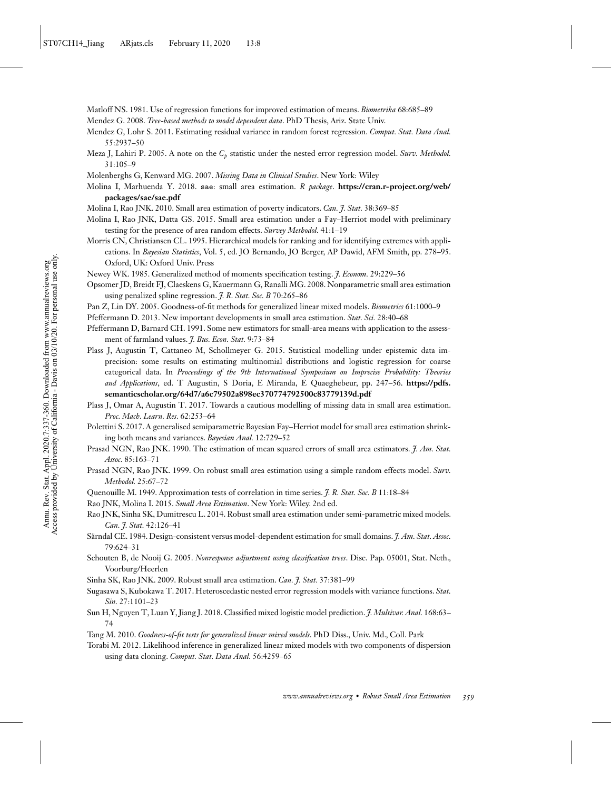- <span id="page-22-0"></span>Matloff NS. 1981. Use of regression functions for improved estimation of means. *Biometrika* 68:685–89
- Mendez G. 2008. *Tree-based methods to model dependent data*. PhD Thesis, Ariz. State Univ.
- Mendez G, Lohr S. 2011. Estimating residual variance in random forest regression. *Comput. Stat. Data Anal.* 55:2937–50
- Meza J, Lahiri P. 2005. A note on the  $C_p$  statistic under the nested error regression model. *Surv. Methodol.* 31:105–9
- Molenberghs G, Kenward MG. 2007. *Missing Data in Clinical Studies*. New York: Wiley
- Molina I, Marhuenda Y. 2018. sae: small area estimation. *R package*. **[https://cran.r-project.org/web/](https://cran.r-project.org/web/packages/sae/sae.pdf) packages/sae/sae.pdf**
- Molina I, Rao JNK. 2010. Small area estimation of poverty indicators. *Can. J. Stat.* 38:369–85
- Molina I, Rao JNK, Datta GS. 2015. Small area estimation under a Fay–Herriot model with preliminary testing for the presence of area random effects. *Survey Methodol.* 41:1–19
- Morris CN, Christiansen CL. 1995. Hierarchical models for ranking and for identifying extremes with applications. In *Bayesian Statistics*, Vol. 5, ed. JO Bernando, JO Berger, AP Dawid, AFM Smith, pp. 278–95. Oxford, UK: Oxford Univ. Press
- Newey WK. 1985. Generalized method of moments specification testing. *J. Econom.* 29:229–56
- Opsomer JD, Breidt FJ, Claeskens G, Kauermann G, Ranalli MG. 2008. Nonparametric small area estimation using penalized spline regression. *J. R. Stat. Soc. B* 70:265–86
- Pan Z, Lin DY. 2005. Goodness-of-fit methods for generalized linear mixed models. *Biometrics* 61:1000–9
- Pfeffermann D. 2013. New important developments in small area estimation. *Stat. Sci.* 28:40–68
- Pfeffermann D, Barnard CH. 1991. Some new estimators for small-area means with application to the assessment of farmland values. *J. Bus. Econ. Stat.* 9:73–84
- Plass J, Augustin T, Cattaneo M, Schollmeyer G. 2015. Statistical modelling under epistemic data imprecision: some results on estimating multinomial distributions and logistic regression for coarse categorical data. In *Proceedings of the 9th International Symposium on Imprecise Probability: Theories and Applications*, ed. T Augustin, S Doria, E Miranda, E Quaeghebeur, pp. 247–56. **https://pdfs. [semanticscholar.org/64d7/a6c79502a898ec370774792500c83779139d.pdf](https://pdfs.semanticscholar.org/64d7/a6c79502a898ec370774792500c83779139d.pdf)**
- Plass J, Omar A, Augustin T. 2017. Towards a cautious modelling of missing data in small area estimation. *Proc. Mach. Learn. Res.* 62:253–64
- Polettini S. 2017. A generalised semiparametric Bayesian Fay–Herriot model for small area estimation shrinking both means and variances. *Bayesian Anal.* 12:729–52
- Prasad NGN, Rao JNK. 1990. The estimation of mean squared errors of small area estimators. *J. Am. Stat. Assoc.* 85:163–71
- Prasad NGN, Rao JNK. 1999. On robust small area estimation using a simple random effects model. *Surv. Methodol.* 25:67–72
- Quenouille M. 1949. Approximation tests of correlation in time series. *J. R. Stat. Soc. B* 11:18–84
- Rao JNK, Molina I. 2015. *Small Area Estimation*. New York: Wiley. 2nd ed.
- Rao JNK, Sinha SK, Dumitrescu L. 2014. Robust small area estimation under semi-parametric mixed models. *Can. J. Stat.* 42:126–41
- Särndal CE. 1984. Design-consistent versus model-dependent estimation for small domains. *J. Am. Stat. Assoc.* 79:624–31
- Schouten B, de Nooij G. 2005. *Nonresponse adjustment using classification trees*. Disc. Pap. 05001, Stat. Neth., Voorburg/Heerlen
- Sinha SK, Rao JNK. 2009. Robust small area estimation. *Can. J. Stat.* 37:381–99
- Sugasawa S, Kubokawa T. 2017. Heteroscedastic nested error regression models with variance functions. *Stat. Sin.* 27:1101–23
- Sun H, Nguyen T, Luan Y, Jiang J. 2018. Classified mixed logistic model prediction. *J. Multivar. Anal.* 168:63– 74
- Tang M. 2010. *Goodness-of-fit tests for generalized linear mixed models*. PhD Diss., Univ. Md., Coll. Park
- Torabi M. 2012. Likelihood inference in generalized linear mixed models with two components of dispersion using data cloning. *Comput. Stat. Data Anal.* 56:4259–65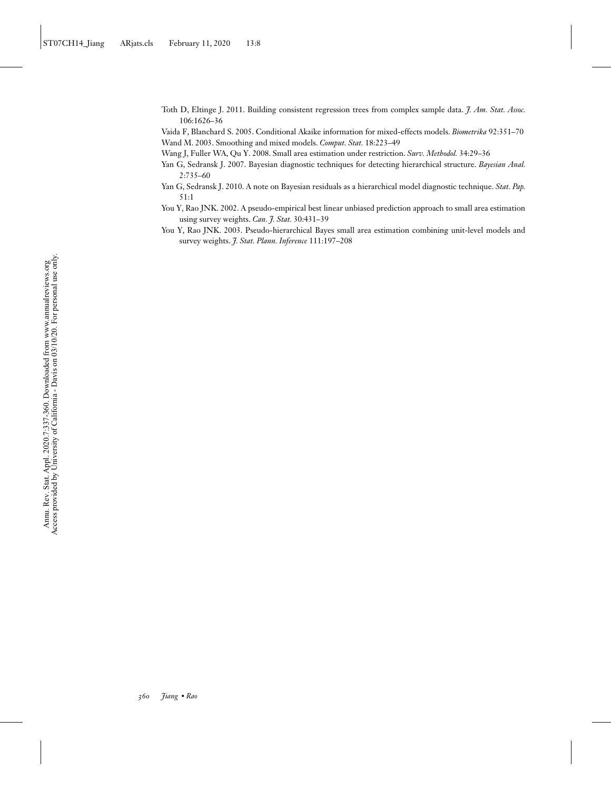<span id="page-23-0"></span>Toth D, Eltinge J. 2011. Building consistent regression trees from complex sample data. *J. Am. Stat. Assoc.* 106:1626–36

Vaida F, Blanchard S. 2005. Conditional Akaike information for mixed-effects models. *Biometrika* 92:351–70 Wand M. 2003. Smoothing and mixed models. *Comput. Stat.* 18:223–49

- Wang J, Fuller WA, Qu Y. 2008. Small area estimation under restriction. *Surv. Methodol.* 34:29–36
- Yan G, Sedransk J. 2007. Bayesian diagnostic techniques for detecting hierarchical structure. *Bayesian Anal.* 2:735–60
- Yan G, Sedransk J. 2010. A note on Bayesian residuals as a hierarchical model diagnostic technique. *Stat. Pap.* 51:1
- You Y, Rao JNK. 2002. A pseudo-empirical best linear unbiased prediction approach to small area estimation using survey weights. *Can. J. Stat.* 30:431–39
- You Y, Rao JNK. 2003. Pseudo-hierarchical Bayes small area estimation combining unit-level models and survey weights. *J. Stat. Plann. Inference* 111:197–208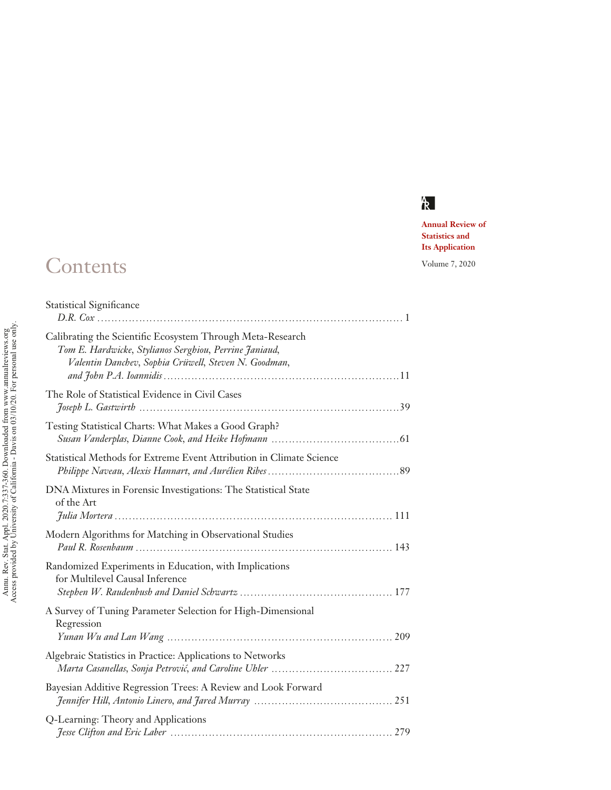

**Annual Review of Statistics and Its Application**

# Contents Volume 7, 2020

| <b>Statistical Significance</b>                                                                                                                                              |
|------------------------------------------------------------------------------------------------------------------------------------------------------------------------------|
| Calibrating the Scientific Ecosystem Through Meta-Research<br>Tom E. Hardwicke, Stylianos Serghiou, Perrine Janiaud,<br>Valentin Danchev, Sophia Crüwell, Steven N. Goodman, |
| The Role of Statistical Evidence in Civil Cases                                                                                                                              |
| Testing Statistical Charts: What Makes a Good Graph?                                                                                                                         |
| Statistical Methods for Extreme Event Attribution in Climate Science                                                                                                         |
| DNA Mixtures in Forensic Investigations: The Statistical State<br>of the Art                                                                                                 |
| Modern Algorithms for Matching in Observational Studies                                                                                                                      |
| Randomized Experiments in Education, with Implications<br>for Multilevel Causal Inference                                                                                    |
| A Survey of Tuning Parameter Selection for High-Dimensional<br>Regression                                                                                                    |
| Algebraic Statistics in Practice: Applications to Networks                                                                                                                   |
|                                                                                                                                                                              |

Q-Learning: Theory and Applications